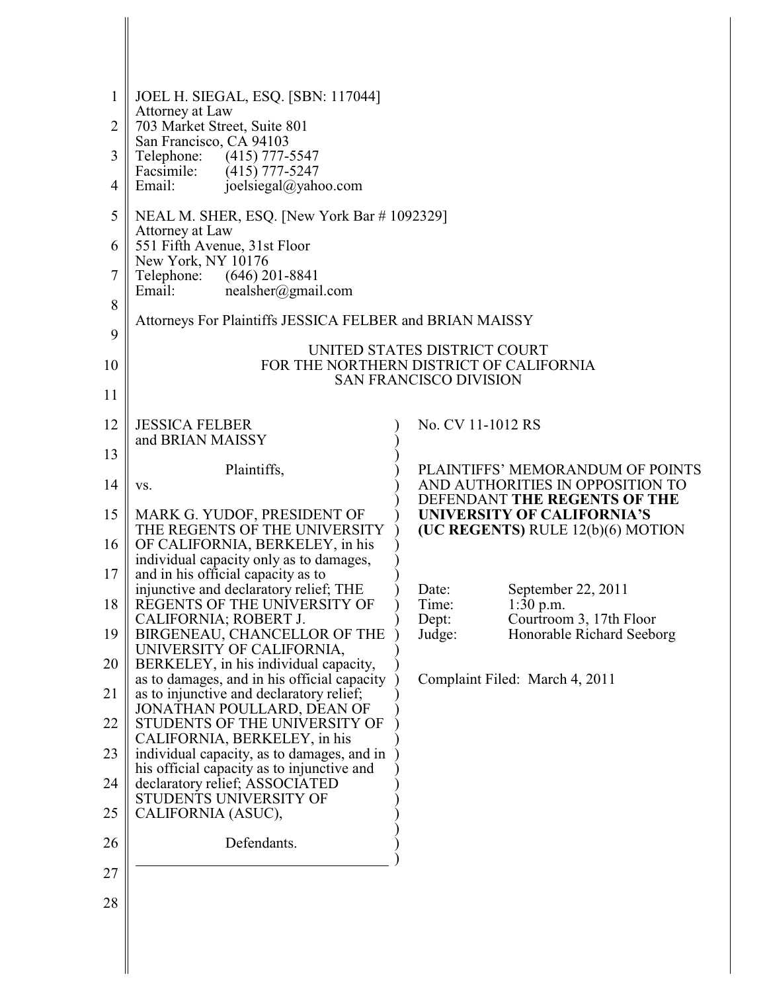| $\mathbf{1}$   | JOEL H. SIEGAL, ESQ. [SBN: 117044]                                                   |                                                                         |
|----------------|--------------------------------------------------------------------------------------|-------------------------------------------------------------------------|
| $\overline{2}$ | Attorney at Law<br>703 Market Street, Suite 801                                      |                                                                         |
| 3              | San Francisco, CA 94103<br>$(415)$ 777-5547<br>Telephone:                            |                                                                         |
| 4              | Facsimile:<br>$(415)$ 777-5247<br>Email:<br>joelsiegal@yahoo.com                     |                                                                         |
|                |                                                                                      |                                                                         |
| 5              | NEAL M. SHER, ESQ. [New York Bar #1092329]<br>Attorney at Law                        |                                                                         |
| 6              | 551 Fifth Avenue, 31st Floor<br>New York, NY 10176                                   |                                                                         |
| 7              | Telephone:<br>$(646)$ 201-8841<br>nealsher@gmail.com<br>Email:                       |                                                                         |
| 8              | Attorneys For Plaintiffs JESSICA FELBER and BRIAN MAISSY                             |                                                                         |
| 9              |                                                                                      |                                                                         |
| 10             |                                                                                      | UNITED STATES DISTRICT COURT<br>FOR THE NORTHERN DISTRICT OF CALIFORNIA |
| 11             |                                                                                      | <b>SAN FRANCISCO DIVISION</b>                                           |
| 12             | <b>JESSICA FELBER</b>                                                                | No. CV 11-1012 RS                                                       |
|                | and BRIAN MAISSY                                                                     |                                                                         |
| 13             | Plaintiffs,                                                                          | PLAINTIFFS' MEMORANDUM OF POINTS                                        |
| 14             | VS.                                                                                  | AND AUTHORITIES IN OPPOSITION TO<br>DEFENDANT THE REGENTS OF THE        |
| 15             | MARK G. YUDOF, PRESIDENT OF<br>THE REGENTS OF THE UNIVERSITY                         | <b>UNIVERSITY OF CALIFORNIA'S</b><br>(UC REGENTS) RULE 12(b)(6) MOTION  |
| 16             | OF CALIFORNIA, BERKELEY, in his                                                      |                                                                         |
| 17             | individual capacity only as to damages,<br>and in his official capacity as to        |                                                                         |
| 18             | injunctive and declaratory relief; THE<br>REGENTS OF THE UNIVERSITY OF               | September 22, 2011<br>Date:<br>$1:30$ p.m.<br>Time:                     |
| 19             | CALIFORNIA; ROBERT J.<br>BIRGENEAU, CHANCELLOR OF THE                                | Courtroom 3, 17th Floor<br>Dept:<br>Honorable Richard Seeborg<br>Judge: |
|                | UNIVERSITY OF CALIFORNIA,                                                            |                                                                         |
| 20             | BERKELEY, in his individual capacity,<br>as to damages, and in his official capacity | Complaint Filed: March 4, 2011                                          |
| 21             | as to injunctive and declaratory relief;<br>JONATHAN POULLARD, DEAN OF               |                                                                         |
| 22             | STUDENTS OF THE UNIVERSITY OF<br>CALIFORNIA, BERKELEY, in his                        |                                                                         |
| 23             | individual capacity, as to damages, and in                                           |                                                                         |
| 24             | his official capacity as to injunctive and<br>declaratory relief; ASSOCIATED         |                                                                         |
| 25             | STUDENTS UNIVERSITY OF<br>CALIFORNIA (ASUC),                                         |                                                                         |
| 26             | Defendants.                                                                          |                                                                         |
| 27             |                                                                                      |                                                                         |
| 28             |                                                                                      |                                                                         |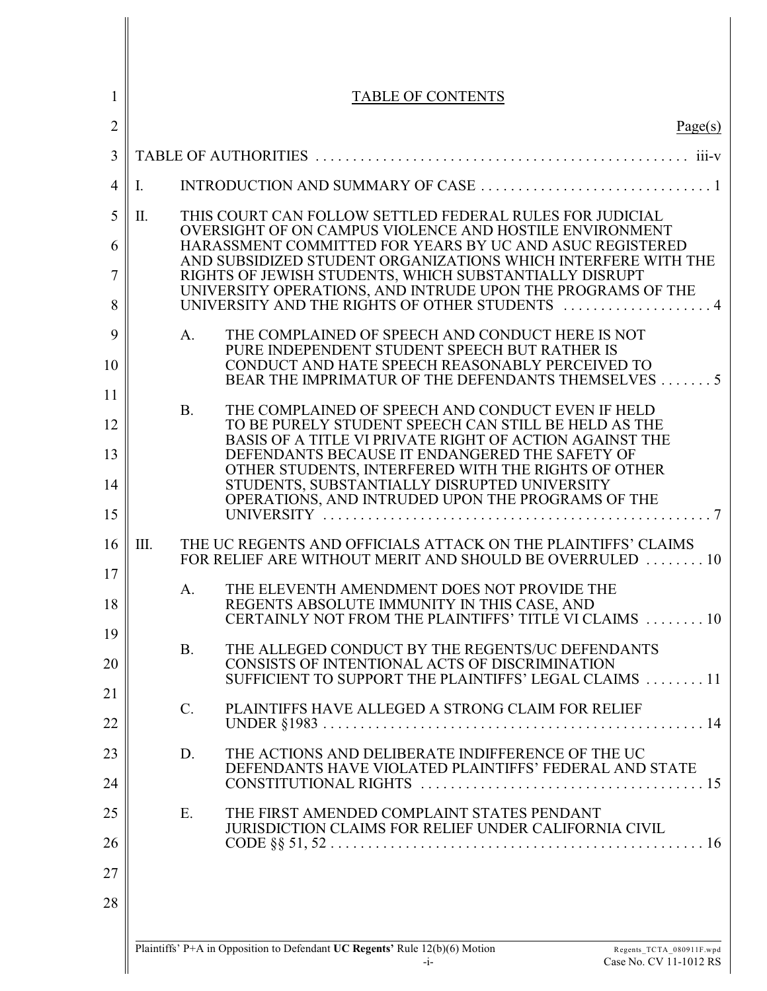| 1              |    |           | <b>TABLE OF CONTENTS</b>                                                                                                                 |
|----------------|----|-----------|------------------------------------------------------------------------------------------------------------------------------------------|
| $\overline{2}$ |    |           | Page(s)                                                                                                                                  |
| 3              |    |           |                                                                                                                                          |
| 4              | Ι. |           |                                                                                                                                          |
| 5              | П. |           | THIS COURT CAN FOLLOW SETTLED FEDERAL RULES FOR JUDICIAL                                                                                 |
| 6              |    |           | OVERSIGHT OF ON CAMPUS VIOLENCE AND HOSTILE ENVIRONMENT<br>HARASSMENT COMMITTED FOR YEARS BY UC AND ASUC REGISTERED                      |
| 7              |    |           | AND SUBSIDIZED STUDENT ORGANIZATIONS WHICH INTERFERE WITH THE<br>RIGHTS OF JEWISH STUDENTS, WHICH SUBSTANTIALLY DISRUPT                  |
| 8              |    |           | UNIVERSITY OPERATIONS, AND INTRUDE UPON THE PROGRAMS OF THE<br>UNIVERSITY AND THE RIGHTS OF OTHER STUDENTS  4                            |
| 9              |    | A.        | THE COMPLAINED OF SPEECH AND CONDUCT HERE IS NOT<br>PURE INDEPENDENT STUDENT SPEECH BUT RATHER IS                                        |
| 10             |    |           | CONDUCT AND HATE SPEECH REASONABLY PERCEIVED TO<br>BEAR THE IMPRIMATUR OF THE DEFENDANTS THEMSELVES 5                                    |
| 11             |    | <b>B.</b> |                                                                                                                                          |
| 12             |    |           | THE COMPLAINED OF SPEECH AND CONDUCT EVEN IF HELD<br>TO BE PURELY STUDENT SPEECH CAN STILL BE HELD AS THE                                |
| 13             |    |           | BASIS OF A TITLE VI PRIVATE RIGHT OF ACTION AGAINST THE<br>DEFENDANTS BECAUSE IT ENDANGERED THE SAFETY OF                                |
| 14             |    |           | OTHER STUDENTS, INTERFERED WITH THE RIGHTS OF OTHER<br>STUDENTS, SUBSTANTIALLY DISRUPTED UNIVERSITY                                      |
| 15             |    |           | OPERATIONS, AND INTRUDED UPON THE PROGRAMS OF THE<br>UNIVERSITY $\ldots, \ldots, \ldots, \ldots, \ldots, \ldots, \ldots, \ldots, \ldots$ |
| 16<br>17       | Ш. |           | THE UC REGENTS AND OFFICIALS ATTACK ON THE PLAINTIFFS' CLAIMS<br>FOR RELIEF ARE WITHOUT MERIT AND SHOULD BE OVERRULED  10                |
| 18             |    | A.        | THE ELEVENTH AMENDMENT DOES NOT PROVIDE THE<br>REGENTS ABSOLUTE IMMUNITY IN THIS CASE, AND                                               |
| 19             |    |           | CERTAINLY NOT FROM THE PLAINTIFFS' TITLE VI CLAIMS  10                                                                                   |
| 20             |    | <b>B.</b> | THE ALLEGED CONDUCT BY THE REGENTS/UC DEFENDANTS<br>CONSISTS OF INTENTIONAL ACTS OF DISCRIMINATION                                       |
| 21             |    |           | SUFFICIENT TO SUPPORT THE PLAINTIFFS' LEGAL CLAIMS  11                                                                                   |
| 22             |    | $C$ .     | PLAINTIFFS HAVE ALLEGED A STRONG CLAIM FOR RELIEF                                                                                        |
| 23             |    | D.        | THE ACTIONS AND DELIBERATE INDIFFERENCE OF THE UC<br>DEFENDANTS HAVE VIOLATED PLAINTIFFS' FEDERAL AND STATE                              |
| 24             |    |           |                                                                                                                                          |
| 25             |    | E.        | THE FIRST AMENDED COMPLAINT STATES PENDANT<br><b>JURISDICTION CLAIMS FOR RELIEF UNDER CALIFORNIA CIVIL</b>                               |
| 26             |    |           |                                                                                                                                          |
| 27             |    |           |                                                                                                                                          |
| 28             |    |           |                                                                                                                                          |
|                |    |           |                                                                                                                                          |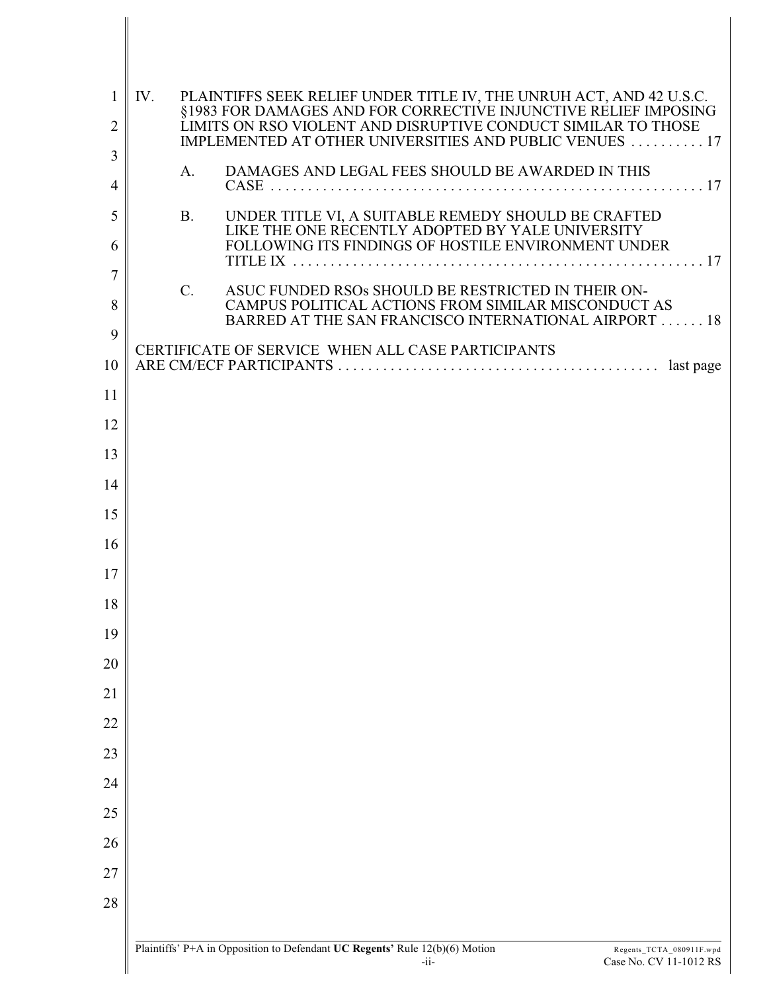| 1              | PLAINTIFFS SEEK RELIEF UNDER TITLE IV, THE UNRUH ACT, AND 42 U.S.C. §1983 FOR DAMAGES AND FOR CORRECTIVE INJUNCTIVE RELIEF IMPOSING LIMITS ON RSO VIOLENT AND DISRUPTIVE CONDUCT SIMILAR TO THOSE<br>IV. |
|----------------|----------------------------------------------------------------------------------------------------------------------------------------------------------------------------------------------------------|
| $\overline{c}$ | IMPLEMENTED AT OTHER UNIVERSITIES AND PUBLIC VENUES  17                                                                                                                                                  |
| 3              | DAMAGES AND LEGAL FEES SHOULD BE AWARDED IN THIS<br>A.                                                                                                                                                   |
| 4              |                                                                                                                                                                                                          |
| 5<br>6         | UNDER TITLE VI, A SUITABLE REMEDY SHOULD BE CRAFTED<br><b>B.</b><br>LIKE THE ONE RECENTLY ADOPTED BY YALE UNIVERSITY<br>FOLLOWING ITS FINDINGS OF HOSTILE ENVIRONMENT UNDER                              |
| 7              |                                                                                                                                                                                                          |
| 8              | ASUC FUNDED RSOs SHOULD BE RESTRICTED IN THEIR ON-<br>$\mathcal{C}$ .<br>CAMPUS POLITICAL ACTIONS FROM SIMILAR MISCONDUCT AS<br>BARRED AT THE SAN FRANCISCO INTERNATIONAL AIRPORT 18                     |
| 9              | CERTIFICATE OF SERVICE WHEN ALL CASE PARTICIPANTS                                                                                                                                                        |
| 10             |                                                                                                                                                                                                          |
| 11             |                                                                                                                                                                                                          |
| 12             |                                                                                                                                                                                                          |
| 13             |                                                                                                                                                                                                          |
| 14             |                                                                                                                                                                                                          |
| 15             |                                                                                                                                                                                                          |
| 16             |                                                                                                                                                                                                          |
| 17             |                                                                                                                                                                                                          |
| 18             |                                                                                                                                                                                                          |
| 19<br>20       |                                                                                                                                                                                                          |
| 21             |                                                                                                                                                                                                          |
| 22             |                                                                                                                                                                                                          |
| 23             |                                                                                                                                                                                                          |
| 24             |                                                                                                                                                                                                          |
| 25             |                                                                                                                                                                                                          |
| 26             |                                                                                                                                                                                                          |
| 27             |                                                                                                                                                                                                          |
| 28             |                                                                                                                                                                                                          |
|                |                                                                                                                                                                                                          |
|                | Plaintiffs' P+A in Opposition to Defendant UC Regents' Rule 12(b)(6) Motion<br>Regents_TCTA_080911F.wpd<br>Case No. CV 11-1012 RS<br>$-i$ i-                                                             |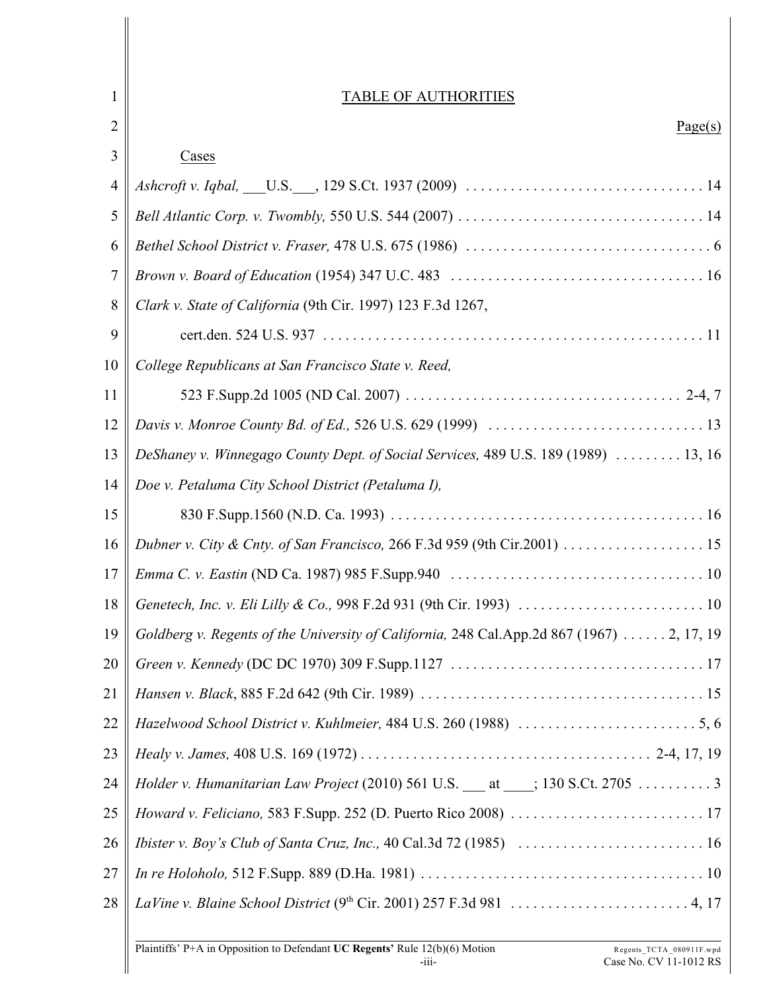| 1  | <b>TABLE OF AUTHORITIES</b>                                                               |
|----|-------------------------------------------------------------------------------------------|
| 2  | Page(s)                                                                                   |
| 3  | Cases                                                                                     |
| 4  |                                                                                           |
| 5  |                                                                                           |
| 6  |                                                                                           |
| 7  |                                                                                           |
| 8  | Clark v. State of California (9th Cir. 1997) 123 F.3d 1267,                               |
| 9  |                                                                                           |
| 10 | College Republicans at San Francisco State v. Reed,                                       |
| 11 |                                                                                           |
| 12 |                                                                                           |
| 13 | DeShaney v. Winnegago County Dept. of Social Services, 489 U.S. 189 (1989)  13, 16        |
| 14 | Doe v. Petaluma City School District (Petaluma I),                                        |
| 15 |                                                                                           |
| 16 |                                                                                           |
| 17 |                                                                                           |
| 18 |                                                                                           |
| 19 | Goldberg v. Regents of the University of California, 248 Cal.App.2d 867 (1967)  2, 17, 19 |
| 20 |                                                                                           |
| 21 |                                                                                           |
| 22 |                                                                                           |
| 23 |                                                                                           |
| 24 |                                                                                           |
| 25 |                                                                                           |
| 26 |                                                                                           |
| 27 |                                                                                           |
| 28 |                                                                                           |
|    |                                                                                           |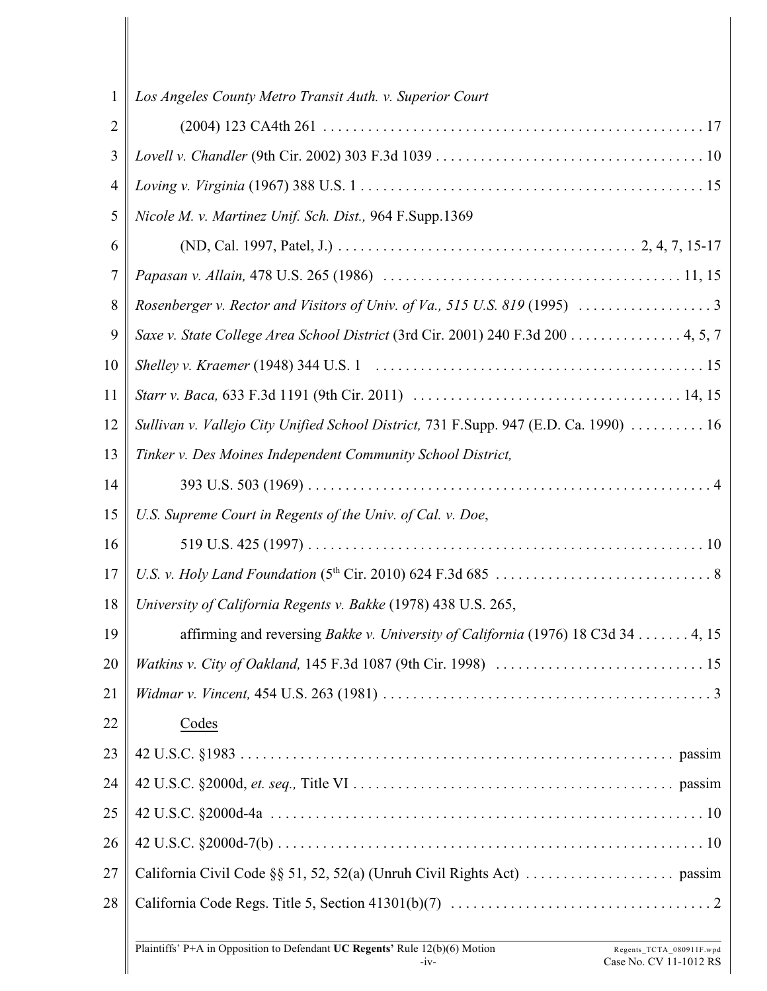| 1              | Los Angeles County Metro Transit Auth. v. Superior Court                              |
|----------------|---------------------------------------------------------------------------------------|
| $\overline{2}$ |                                                                                       |
| 3              |                                                                                       |
| $\overline{4}$ |                                                                                       |
| 5              | Nicole M. v. Martinez Unif. Sch. Dist., 964 F.Supp.1369                               |
| 6              |                                                                                       |
| $\tau$         |                                                                                       |
| 8              |                                                                                       |
| 9              | Saxe v. State College Area School District (3rd Cir. 2001) 240 F.3d 200 4, 5, 7       |
| 10             |                                                                                       |
| 11             |                                                                                       |
| 12             | Sullivan v. Vallejo City Unified School District, 731 F.Supp. 947 (E.D. Ca. 1990)  16 |
| 13             | Tinker v. Des Moines Independent Community School District,                           |
| 14             |                                                                                       |
| 15             | U.S. Supreme Court in Regents of the Univ. of Cal. v. Doe,                            |
| 16             |                                                                                       |
| 17             |                                                                                       |
| 18             | University of California Regents v. Bakke (1978) 438 U.S. 265,                        |
| 19             | affirming and reversing Bakke v. University of California (1976) 18 C3d 34 4, 15      |
| 20             |                                                                                       |
| 21             |                                                                                       |
| 22             | Codes                                                                                 |
| 23             |                                                                                       |
| 24             |                                                                                       |
| 25             |                                                                                       |
| 26             |                                                                                       |
| 27             |                                                                                       |
| 28             |                                                                                       |
|                |                                                                                       |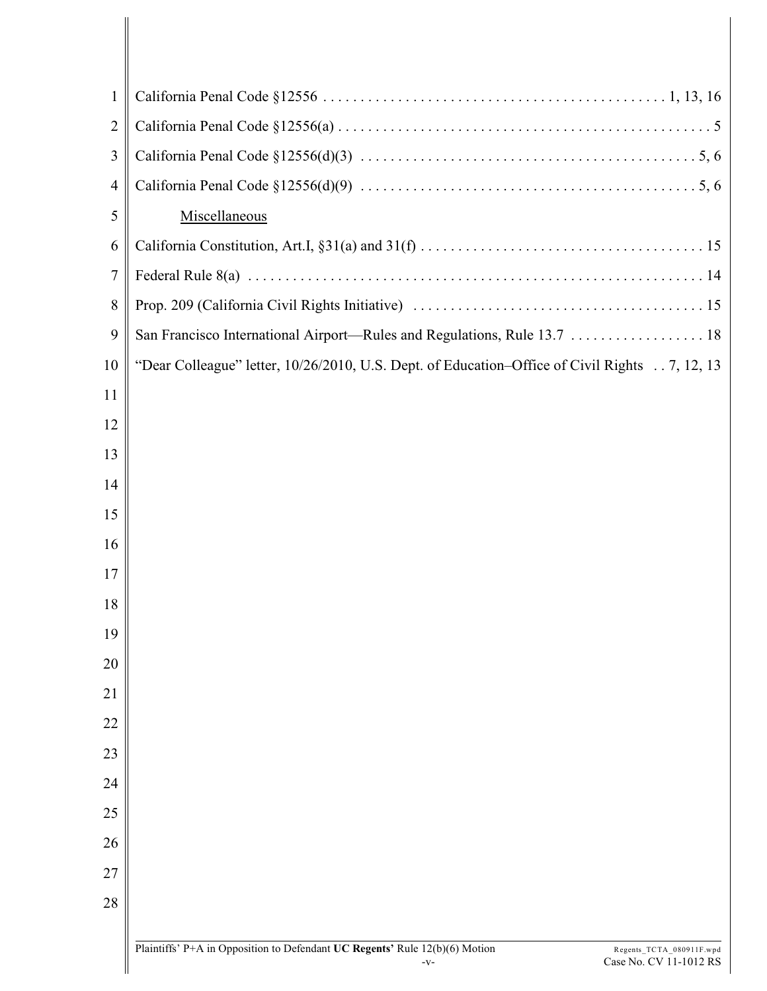| 1              |                                                                                               |
|----------------|-----------------------------------------------------------------------------------------------|
| $\overline{2}$ |                                                                                               |
| 3              |                                                                                               |
| $\overline{4}$ |                                                                                               |
| 5              | Miscellaneous                                                                                 |
| 6              |                                                                                               |
| 7              |                                                                                               |
| 8              |                                                                                               |
| 9              |                                                                                               |
| 10             | "Dear Colleague" letter, 10/26/2010, U.S. Dept. of Education-Office of Civil Rights 7, 12, 13 |
| 11             |                                                                                               |
| 12             |                                                                                               |
| 13             |                                                                                               |
| 14             |                                                                                               |
| 15             |                                                                                               |
| 16             |                                                                                               |
| 17             |                                                                                               |
| 18             |                                                                                               |
| 19             |                                                                                               |
| 20             |                                                                                               |
| 21             |                                                                                               |
| 22             |                                                                                               |
| 23             |                                                                                               |
| 24             |                                                                                               |
| 25             |                                                                                               |
| 26             |                                                                                               |
| 27             |                                                                                               |
| 28             |                                                                                               |
|                | Plaintiffs' P+A in Opposition to Defendant LC Regents' Rule 12(b)(6) Motion<br><b>TCTA</b>    |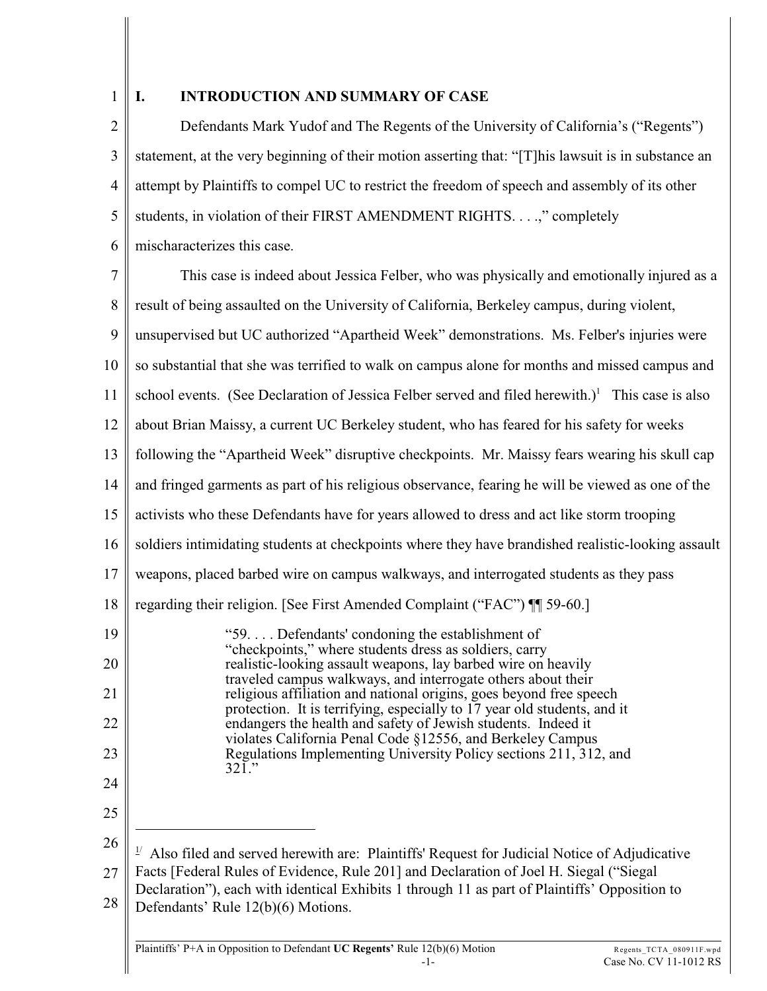1

## **I. INTRODUCTION AND SUMMARY OF CASE**

2 3 4 5 6 Defendants Mark Yudof and The Regents of the University of California's ("Regents") statement, at the very beginning of their motion asserting that: "[T]his lawsuit is in substance an attempt by Plaintiffs to compel UC to restrict the freedom of speech and assembly of its other students, in violation of their FIRST AMENDMENT RIGHTS. . . .," completely mischaracterizes this case.

7 8 9 10 11 12 13 14 15 16 17 18 19 20 21 22 23 24 25 26 27 28  $\frac{1}{2}$  Also filed and served herewith are: Plaintiffs' Request for Judicial Notice of Adjudicative Facts [Federal Rules of Evidence, Rule 201] and Declaration of Joel H. Siegal ("Siegal Declaration"), each with identical Exhibits 1 through 11 as part of Plaintiffs' Opposition to Defendants' Rule 12(b)(6) Motions. This case is indeed about Jessica Felber, who was physically and emotionally injured as a result of being assaulted on the University of California, Berkeley campus, during violent, unsupervised but UC authorized "Apartheid Week" demonstrations. Ms. Felber's injuries were so substantial that she was terrified to walk on campus alone for months and missed campus and school events. (See Declaration of Jessica Felber served and filed herewith.)<sup>1</sup> This case is also about Brian Maissy, a current UC Berkeley student, who has feared for his safety for weeks following the "Apartheid Week" disruptive checkpoints. Mr. Maissy fears wearing his skull cap and fringed garments as part of his religious observance, fearing he will be viewed as one of the activists who these Defendants have for years allowed to dress and act like storm trooping soldiers intimidating students at checkpoints where they have brandished realistic-looking assault weapons, placed barbed wire on campus walkways, and interrogated students as they pass regarding their religion. [See First Amended Complaint ("FAC") ¶¶ 59-60.] "59. . . . Defendants' condoning the establishment of "checkpoints," where students dress as soldiers, carry realistic-looking assault weapons, lay barbed wire on heavily traveled campus walkways, and interrogate others about their religious affiliation and national origins, goes beyond free speech protection. It is terrifying, especially to 17 year old students, and it endangers the health and safety of Jewish students. Indeed it violates California Penal Code §12556, and Berkeley Campus Regulations Implementing University Policy sections 211, 312, and 321."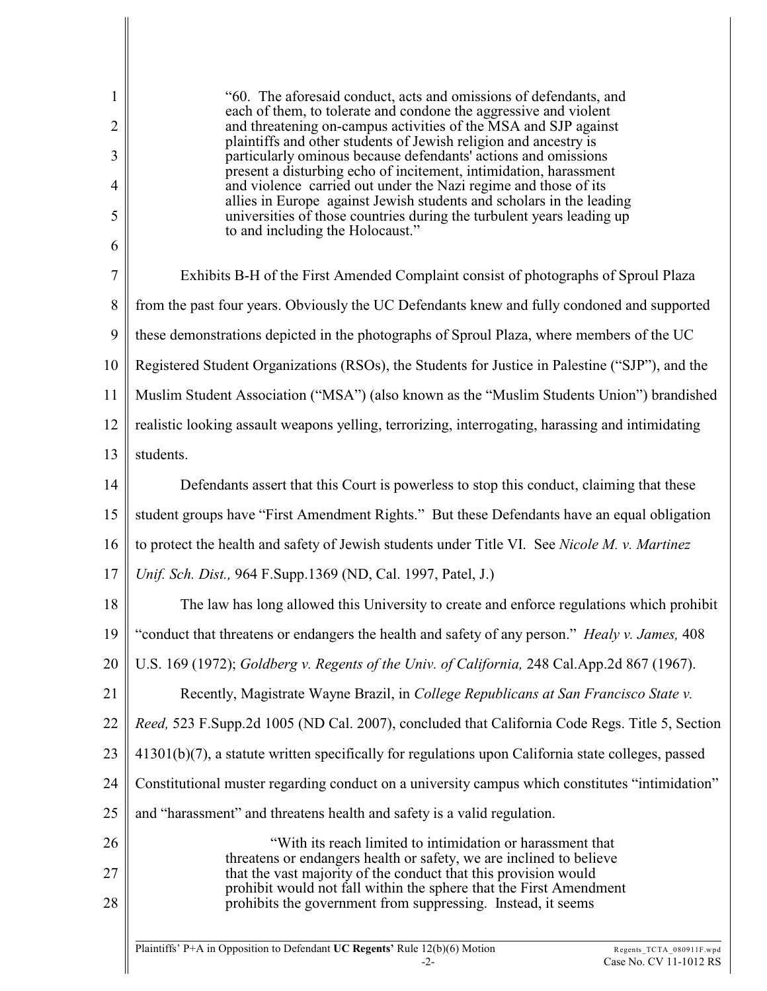| 1<br>$\overline{2}$<br>3<br>4<br>5<br>6 | "60. The aforesaid conduct, acts and omissions of defendants, and<br>each of them, to tolerate and condone the aggressive and violent<br>and threatening on-campus activities of the MSA and SJP against<br>plaintiffs and other students of Jewish religion and ancestry is<br>particularly ominous because defendants' actions and omissions<br>present a disturbing echo of incitement, intimidation, harassment<br>and violence carried out under the Nazi regime and those of its<br>allies in Europe against Jewish students and scholars in the leading<br>universities of those countries during the turbulent years leading up<br>to and including the Holocaust." |
|-----------------------------------------|-----------------------------------------------------------------------------------------------------------------------------------------------------------------------------------------------------------------------------------------------------------------------------------------------------------------------------------------------------------------------------------------------------------------------------------------------------------------------------------------------------------------------------------------------------------------------------------------------------------------------------------------------------------------------------|
| 7                                       | Exhibits B-H of the First Amended Complaint consist of photographs of Sproul Plaza                                                                                                                                                                                                                                                                                                                                                                                                                                                                                                                                                                                          |
| 8                                       | from the past four years. Obviously the UC Defendants knew and fully condoned and supported                                                                                                                                                                                                                                                                                                                                                                                                                                                                                                                                                                                 |
| 9                                       | these demonstrations depicted in the photographs of Sproul Plaza, where members of the UC                                                                                                                                                                                                                                                                                                                                                                                                                                                                                                                                                                                   |
| 10                                      | Registered Student Organizations (RSOs), the Students for Justice in Palestine ("SJP"), and the                                                                                                                                                                                                                                                                                                                                                                                                                                                                                                                                                                             |
| 11                                      | Muslim Student Association ("MSA") (also known as the "Muslim Students Union") brandished                                                                                                                                                                                                                                                                                                                                                                                                                                                                                                                                                                                   |
| 12                                      | realistic looking assault weapons yelling, terrorizing, interrogating, harassing and intimidating                                                                                                                                                                                                                                                                                                                                                                                                                                                                                                                                                                           |
| 13                                      | students.                                                                                                                                                                                                                                                                                                                                                                                                                                                                                                                                                                                                                                                                   |
| 14                                      | Defendants assert that this Court is powerless to stop this conduct, claiming that these                                                                                                                                                                                                                                                                                                                                                                                                                                                                                                                                                                                    |
| 15                                      | student groups have "First Amendment Rights." But these Defendants have an equal obligation                                                                                                                                                                                                                                                                                                                                                                                                                                                                                                                                                                                 |
| 16                                      | to protect the health and safety of Jewish students under Title VI. See Nicole M. v. Martinez                                                                                                                                                                                                                                                                                                                                                                                                                                                                                                                                                                               |
| 17                                      | Unif. Sch. Dist., 964 F.Supp.1369 (ND, Cal. 1997, Patel, J.)                                                                                                                                                                                                                                                                                                                                                                                                                                                                                                                                                                                                                |
| 18                                      | The law has long allowed this University to create and enforce regulations which prohibit                                                                                                                                                                                                                                                                                                                                                                                                                                                                                                                                                                                   |
| 19                                      | "conduct that threatens or endangers the health and safety of any person." Healy v. James, 408                                                                                                                                                                                                                                                                                                                                                                                                                                                                                                                                                                              |
| 20                                      | U.S. 169 (1972); Goldberg v. Regents of the Univ. of California, 248 Cal.App.2d 867 (1967).                                                                                                                                                                                                                                                                                                                                                                                                                                                                                                                                                                                 |
| 21                                      | Recently, Magistrate Wayne Brazil, in College Republicans at San Francisco State v.                                                                                                                                                                                                                                                                                                                                                                                                                                                                                                                                                                                         |
| 22                                      | Reed, 523 F.Supp.2d 1005 (ND Cal. 2007), concluded that California Code Regs. Title 5, Section                                                                                                                                                                                                                                                                                                                                                                                                                                                                                                                                                                              |
| 23                                      | $41301(b)(7)$ , a statute written specifically for regulations upon California state colleges, passed                                                                                                                                                                                                                                                                                                                                                                                                                                                                                                                                                                       |
| 24                                      | Constitutional muster regarding conduct on a university campus which constitutes "intimidation"                                                                                                                                                                                                                                                                                                                                                                                                                                                                                                                                                                             |
| 25                                      | and "harassment" and threatens health and safety is a valid regulation.                                                                                                                                                                                                                                                                                                                                                                                                                                                                                                                                                                                                     |
| 26                                      | "With its reach limited to intimidation or harassment that                                                                                                                                                                                                                                                                                                                                                                                                                                                                                                                                                                                                                  |
| 27<br>28                                | threatens or endangers health or safety, we are inclined to believe<br>that the vast majority of the conduct that this provision would<br>prohibit would not fall within the sphere that the First Amendment<br>prohibits the government from suppressing. Instead, it seems                                                                                                                                                                                                                                                                                                                                                                                                |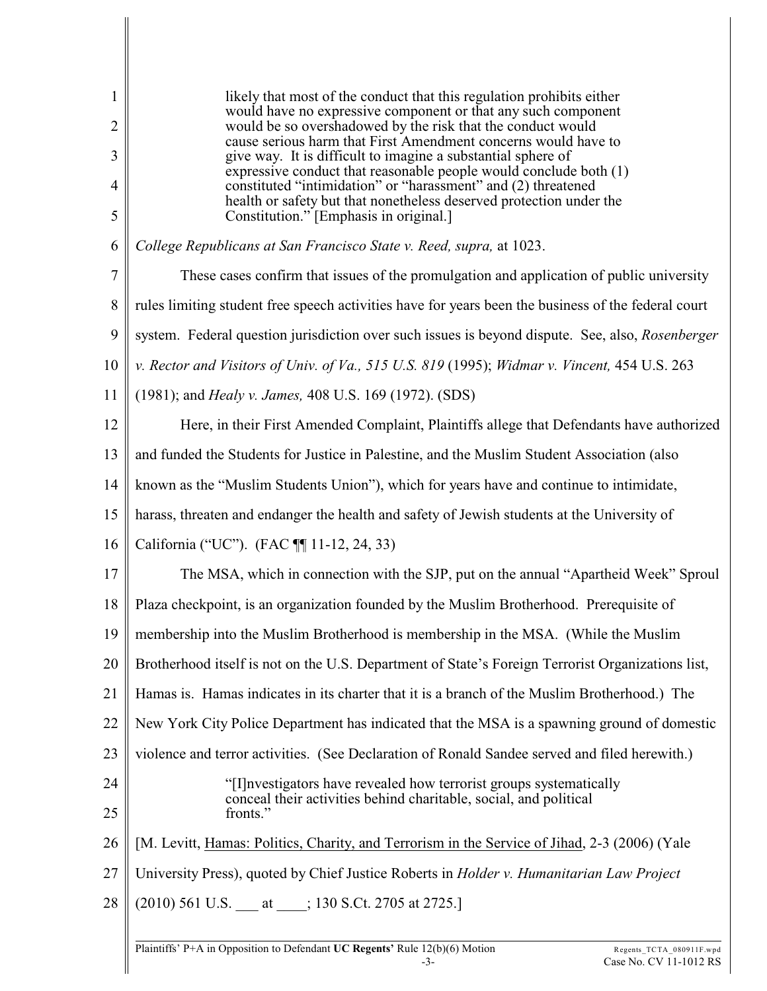| $\mathbf{1}$   | likely that most of the conduct that this regulation prohibits either                                                              |
|----------------|------------------------------------------------------------------------------------------------------------------------------------|
| $\overline{2}$ | would have no expressive component or that any such component<br>would be so overshadowed by the risk that the conduct would       |
| 3              | cause serious harm that First Amendment concerns would have to<br>give way. It is difficult to imagine a substantial sphere of     |
| 4              | expressive conduct that reasonable people would conclude both (1)<br>constituted "intimidation" or "harassment" and (2) threatened |
| 5              | health or safety but that nonetheless deserved protection under the<br>Constitution." [Emphasis in original.]                      |
| 6              | College Republicans at San Francisco State v. Reed, supra, at 1023.                                                                |
| 7              | These cases confirm that issues of the promulgation and application of public university                                           |
| 8              | rules limiting student free speech activities have for years been the business of the federal court                                |
| 9              | system. Federal question jurisdiction over such issues is beyond dispute. See, also, Rosenberger                                   |
| 10             | v. Rector and Visitors of Univ. of Va., 515 U.S. 819 (1995); Widmar v. Vincent, 454 U.S. 263                                       |
| 11             | (1981); and <i>Healy v. James</i> , 408 U.S. 169 (1972). (SDS)                                                                     |
| 12             | Here, in their First Amended Complaint, Plaintiffs allege that Defendants have authorized                                          |
| 13             | and funded the Students for Justice in Palestine, and the Muslim Student Association (also                                         |
| 14             | known as the "Muslim Students Union"), which for years have and continue to intimidate,                                            |
| 15             | harass, threaten and endanger the health and safety of Jewish students at the University of                                        |
| 16             | California ("UC"). (FAC ¶ 11-12, 24, 33)                                                                                           |
| 17             | The MSA, which in connection with the SJP, put on the annual "Apartheid Week" Sproul                                               |
| 18             | Plaza checkpoint, is an organization founded by the Muslim Brotherhood. Prerequisite of                                            |
| 19             | membership into the Muslim Brotherhood is membership in the MSA. (While the Muslim                                                 |
| 20             | Brotherhood itself is not on the U.S. Department of State's Foreign Terrorist Organizations list,                                  |
| 21             | Hamas is. Hamas indicates in its charter that it is a branch of the Muslim Brotherhood.) The                                       |
| 22             | New York City Police Department has indicated that the MSA is a spawning ground of domestic                                        |
| 23             | violence and terror activities. (See Declaration of Ronald Sandee served and filed herewith.)                                      |
| 24             | "[I] nvestigators have revealed how terrorist groups systematically                                                                |
| 25             | conceal their activities behind charitable, social, and political<br>fronts."                                                      |
| 26             | [M. Levitt, Hamas: Politics, Charity, and Terrorism in the Service of Jihad, 2-3 (2006) (Yale                                      |
| 27             | University Press), quoted by Chief Justice Roberts in <i>Holder v. Humanitarian Law Project</i>                                    |
| 28             | $(2010)$ 561 U.S. ____ at _____; 130 S.Ct. 2705 at 2725.]                                                                          |
|                |                                                                                                                                    |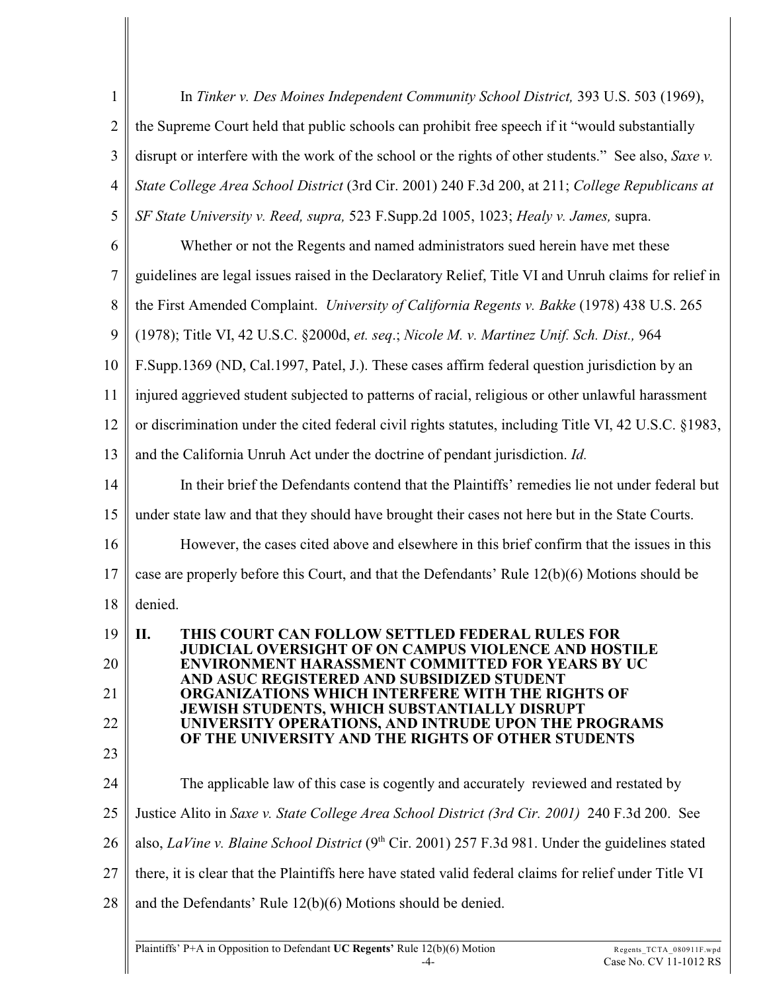| $\mathbf{1}$   | In Tinker v. Des Moines Independent Community School District, 393 U.S. 503 (1969),                                  |
|----------------|----------------------------------------------------------------------------------------------------------------------|
| $\overline{2}$ | the Supreme Court held that public schools can prohibit free speech if it "would substantially                       |
| 3              | disrupt or interfere with the work of the school or the rights of other students." See also, Saxe v.                 |
| $\overline{4}$ | State College Area School District (3rd Cir. 2001) 240 F.3d 200, at 211; College Republicans at                      |
| 5              | SF State University v. Reed, supra, 523 F.Supp.2d 1005, 1023; Healy v. James, supra.                                 |
| 6              | Whether or not the Regents and named administrators sued herein have met these                                       |
| 7              | guidelines are legal issues raised in the Declaratory Relief, Title VI and Unruh claims for relief in                |
| 8              | the First Amended Complaint. University of California Regents v. Bakke (1978) 438 U.S. 265                           |
| 9              | (1978); Title VI, 42 U.S.C. §2000d, et. seq.; Nicole M. v. Martinez Unif. Sch. Dist., 964                            |
| 10             | F.Supp.1369 (ND, Cal.1997, Patel, J.). These cases affirm federal question jurisdiction by an                        |
| 11             | injured aggrieved student subjected to patterns of racial, religious or other unlawful harassment                    |
| 12             | or discrimination under the cited federal civil rights statutes, including Title VI, 42 U.S.C. §1983,                |
| 13             | and the California Unruh Act under the doctrine of pendant jurisdiction. Id.                                         |
| 14             | In their brief the Defendants contend that the Plaintiffs' remedies lie not under federal but                        |
| 15             | under state law and that they should have brought their cases not here but in the State Courts.                      |
| 16             | However, the cases cited above and elsewhere in this brief confirm that the issues in this                           |
| 17             | case are properly before this Court, and that the Defendants' Rule 12(b)(6) Motions should be                        |
| 18             | denied.                                                                                                              |
| 19             | THIS COURT CAN FOLLOW SETTLED FEDERAL RULES FOR<br>П.<br><b>JUDICIAL OVERSIGHT OF ON CAMPUS VIOLENCE AND HOSTILE</b> |
| 20             | <b>ENVIRONMENT HARASSMENT COMMITTED FOR YEARS BY UC</b><br>AND ASUC REGISTERED AND SUBSIDIZED STUDENT                |
| 21             | <b>ORGANIZATIONS WHICH INTERFERE WITH THE RIGHTS OF</b><br><b>JEWISH STUDENTS, WHICH SUBSTANTIALLY DISRUPT</b>       |
| 22             | UNIVERSITY OPERATIONS, AND INTRUDE UPON THE PROGRAMS<br>OF THE UNIVERSITY AND THE RIGHTS OF OTHER STUDENTS           |
| 23             |                                                                                                                      |
| 24             | The applicable law of this case is cogently and accurately reviewed and restated by                                  |
| 25             | Justice Alito in Saxe v. State College Area School District (3rd Cir. 2001) 240 F.3d 200. See                        |
| 26             | also, LaVine v. Blaine School District ( $9th$ Cir. 2001) 257 F.3d 981. Under the guidelines stated                  |
| 27             | there, it is clear that the Plaintiffs here have stated valid federal claims for relief under Title VI               |
| 28             | and the Defendants' Rule $12(b)(6)$ Motions should be denied.                                                        |
|                |                                                                                                                      |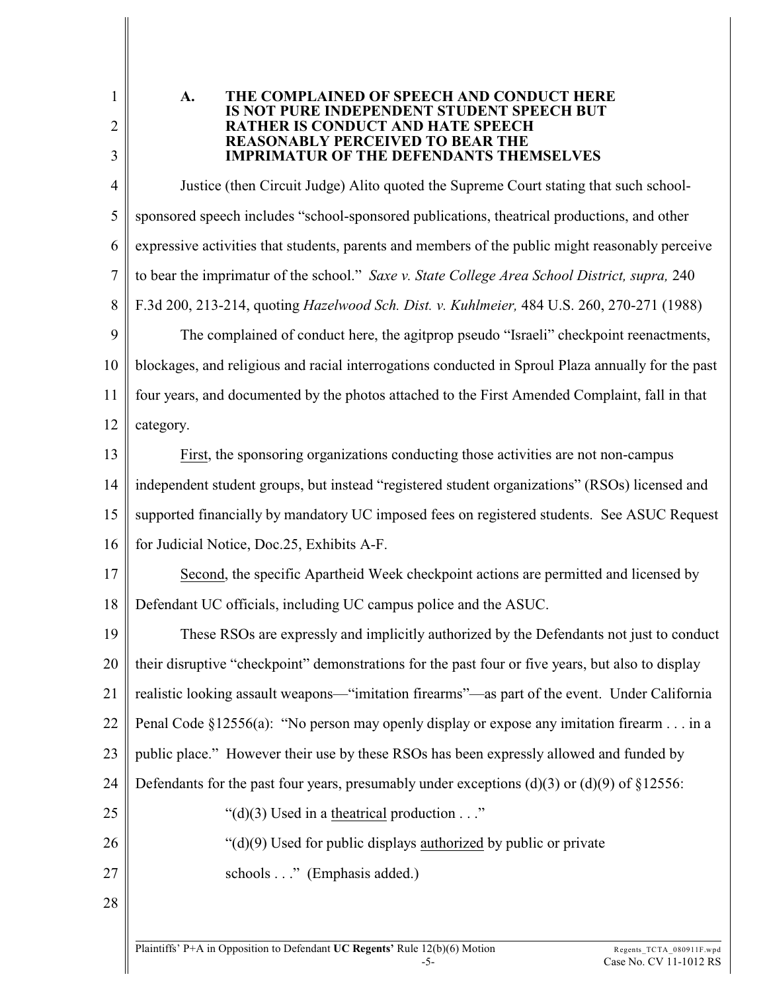1 2

3

## **A. THE COMPLAINED OF SPEECH AND CONDUCT HERE IS NOT PURE INDEPENDENT STUDENT SPEECH BUT RATHER IS CONDUCT AND HATE SPEECH REASONABLY PERCEIVED TO BEAR THE IMPRIMATUR OF THE DEFENDANTS THEMSELVES**

4 5 6 7 8 9 10 11 Justice (then Circuit Judge) Alito quoted the Supreme Court stating that such schoolsponsored speech includes "school-sponsored publications, theatrical productions, and other expressive activities that students, parents and members of the public might reasonably perceive to bear the imprimatur of the school." *Saxe v. State College Area School District, supra,* 240 F.3d 200, 213-214, quoting *Hazelwood Sch. Dist. v. Kuhlmeier,* 484 U.S. 260, 270-271 (1988) The complained of conduct here, the agitprop pseudo "Israeli" checkpoint reenactments, blockages, and religious and racial interrogations conducted in Sproul Plaza annually for the past four years, and documented by the photos attached to the First Amended Complaint, fall in that

12 category.

13 14 15 16 First, the sponsoring organizations conducting those activities are not non-campus independent student groups, but instead "registered student organizations" (RSOs) licensed and supported financially by mandatory UC imposed fees on registered students. See ASUC Request for Judicial Notice, Doc.25, Exhibits A-F.

17 18 Second, the specific Apartheid Week checkpoint actions are permitted and licensed by Defendant UC officials, including UC campus police and the ASUC.

19 20 21 22 23 24 25 26 27 These RSOs are expressly and implicitly authorized by the Defendants not just to conduct their disruptive "checkpoint" demonstrations for the past four or five years, but also to display realistic looking assault weapons—"imitation firearms"—as part of the event. Under California Penal Code §12556(a): "No person may openly display or expose any imitation firearm . . . in a public place." However their use by these RSOs has been expressly allowed and funded by Defendants for the past four years, presumably under exceptions  $(d)(3)$  or  $(d)(9)$  of  $\S 12556$ : " $(d)(3)$  Used in a theatrical production  $\dots$ " "(d)(9) Used for public displays authorized by public or private

- schools . . ." (Emphasis added.)
- 28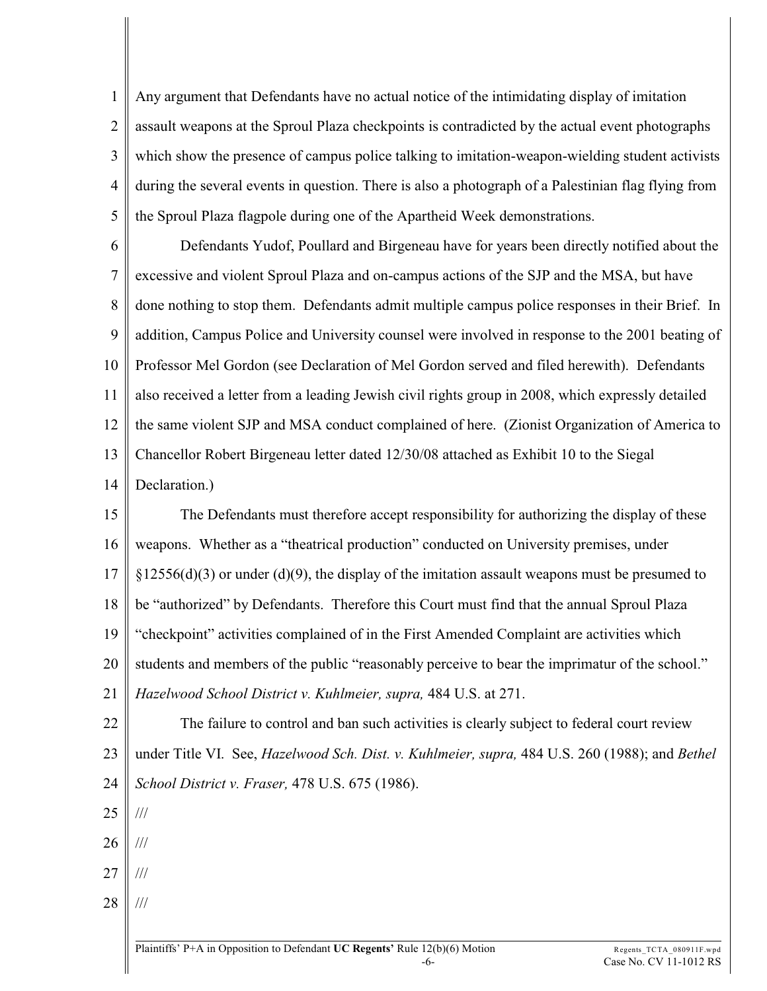1 2 3 4 5 Any argument that Defendants have no actual notice of the intimidating display of imitation assault weapons at the Sproul Plaza checkpoints is contradicted by the actual event photographs which show the presence of campus police talking to imitation-weapon-wielding student activists during the several events in question. There is also a photograph of a Palestinian flag flying from the Sproul Plaza flagpole during one of the Apartheid Week demonstrations.

6 7 8 9 10 11 12 13 14 Defendants Yudof, Poullard and Birgeneau have for years been directly notified about the excessive and violent Sproul Plaza and on-campus actions of the SJP and the MSA, but have done nothing to stop them. Defendants admit multiple campus police responses in their Brief. In addition, Campus Police and University counsel were involved in response to the 2001 beating of Professor Mel Gordon (see Declaration of Mel Gordon served and filed herewith). Defendants also received a letter from a leading Jewish civil rights group in 2008, which expressly detailed the same violent SJP and MSA conduct complained of here. (Zionist Organization of America to Chancellor Robert Birgeneau letter dated 12/30/08 attached as Exhibit 10 to the Siegal Declaration.)

15 16 17 18 19 20 21 The Defendants must therefore accept responsibility for authorizing the display of these weapons. Whether as a "theatrical production" conducted on University premises, under  $\S 12556(d)(3)$  or under (d)(9), the display of the imitation assault weapons must be presumed to be "authorized" by Defendants. Therefore this Court must find that the annual Sproul Plaza "checkpoint" activities complained of in the First Amended Complaint are activities which students and members of the public "reasonably perceive to bear the imprimatur of the school." *Hazelwood School District v. Kuhlmeier, supra,* 484 U.S. at 271.

22 23  $24$ The failure to control and ban such activities is clearly subject to federal court review under Title VI. See, *Hazelwood Sch. Dist. v. Kuhlmeier, supra,* 484 U.S. 260 (1988); and *Bethel School District v. Fraser,* 478 U.S. 675 (1986).

25 ///

26 ///

- 27 ///
- 28 ///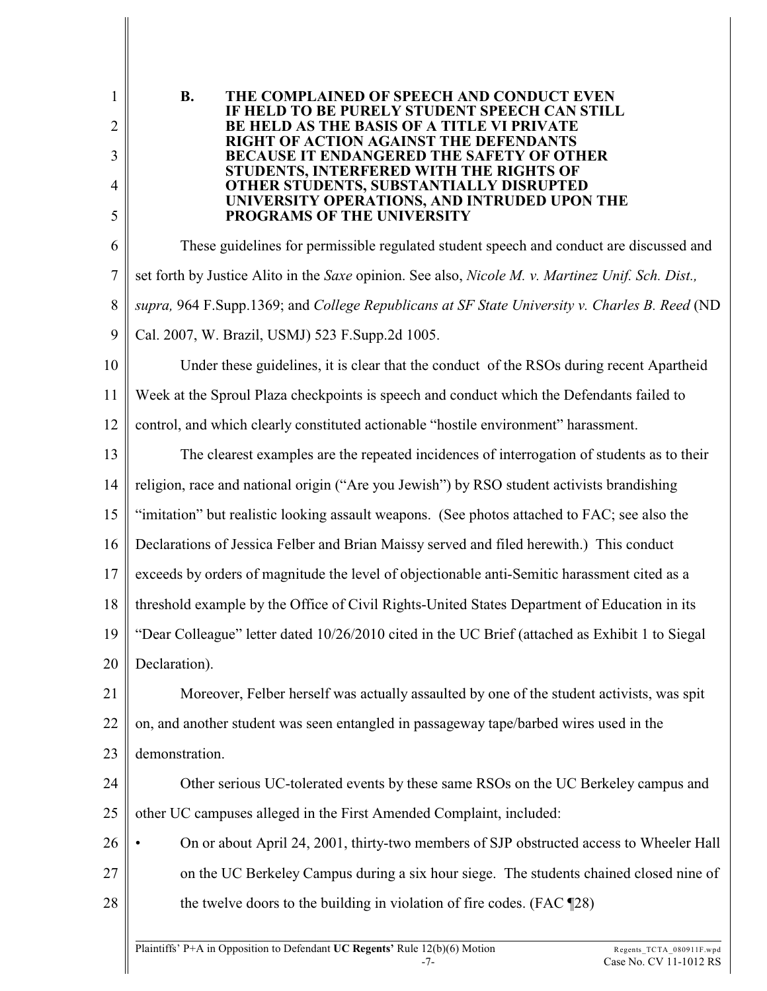| $\mathbf{1}$   | <b>B.</b><br>THE COMPLAINED OF SPEECH AND CONDUCT EVEN<br>IF HELD TO BE PURELY STUDENT SPEECH CAN STILL                      |
|----------------|------------------------------------------------------------------------------------------------------------------------------|
| $\overline{2}$ | <b>BE HELD AS THE BASIS OF A TITLE VI PRIVATE</b><br>RIGHT OF ACTION AGAINST THE DEFENDANTS                                  |
| 3              | <b>BECAUSE IT ENDANGERED THE SAFETY OF OTHER</b><br>STUDENTS, INTERFERED WITH THE RIGHTS OF                                  |
| 4<br>5         | OTHER STUDENTS, SUBSTANTIALLY DISRUPTED<br>UNIVERSITY OPERATIONS, AND INTRUDED UPON THE<br><b>PROGRAMS OF THE UNIVERSITY</b> |
| 6              | These guidelines for permissible regulated student speech and conduct are discussed and                                      |
| $\tau$         | set forth by Justice Alito in the Saxe opinion. See also, Nicole M. v. Martinez Unif. Sch. Dist.,                            |
| 8              | supra, 964 F.Supp.1369; and College Republicans at SF State University v. Charles B. Reed (ND                                |
| 9              | Cal. 2007, W. Brazil, USMJ) 523 F.Supp.2d 1005.                                                                              |
| 10             | Under these guidelines, it is clear that the conduct of the RSOs during recent Apartheid                                     |
| 11             | Week at the Sproul Plaza checkpoints is speech and conduct which the Defendants failed to                                    |
| 12             | control, and which clearly constituted actionable "hostile environment" harassment.                                          |
| 13             | The clearest examples are the repeated incidences of interrogation of students as to their                                   |
| 14             | religion, race and national origin ("Are you Jewish") by RSO student activists brandishing                                   |
| 15             | "imitation" but realistic looking assault weapons. (See photos attached to FAC; see also the                                 |
| 16             | Declarations of Jessica Felber and Brian Maissy served and filed herewith.) This conduct                                     |
| 17             | exceeds by orders of magnitude the level of objectionable anti-Semitic harassment cited as a                                 |
| 18             | threshold example by the Office of Civil Rights-United States Department of Education in its                                 |
| 19             | "Dear Colleague" letter dated 10/26/2010 cited in the UC Brief (attached as Exhibit 1 to Siegal                              |
| 20             | Declaration).                                                                                                                |
| 21             | Moreover, Felber herself was actually assaulted by one of the student activists, was spit                                    |
| 22             | on, and another student was seen entangled in passageway tape/barbed wires used in the                                       |
| 23             | demonstration.                                                                                                               |
| 24             | Other serious UC-tolerated events by these same RSOs on the UC Berkeley campus and                                           |
| 25             | other UC campuses alleged in the First Amended Complaint, included:                                                          |
| 26             | On or about April 24, 2001, thirty-two members of SJP obstructed access to Wheeler Hall                                      |
| 27             | on the UC Berkeley Campus during a six hour siege. The students chained closed nine of                                       |
| 28             | the twelve doors to the building in violation of fire codes. (FAC ¶28)                                                       |
|                |                                                                                                                              |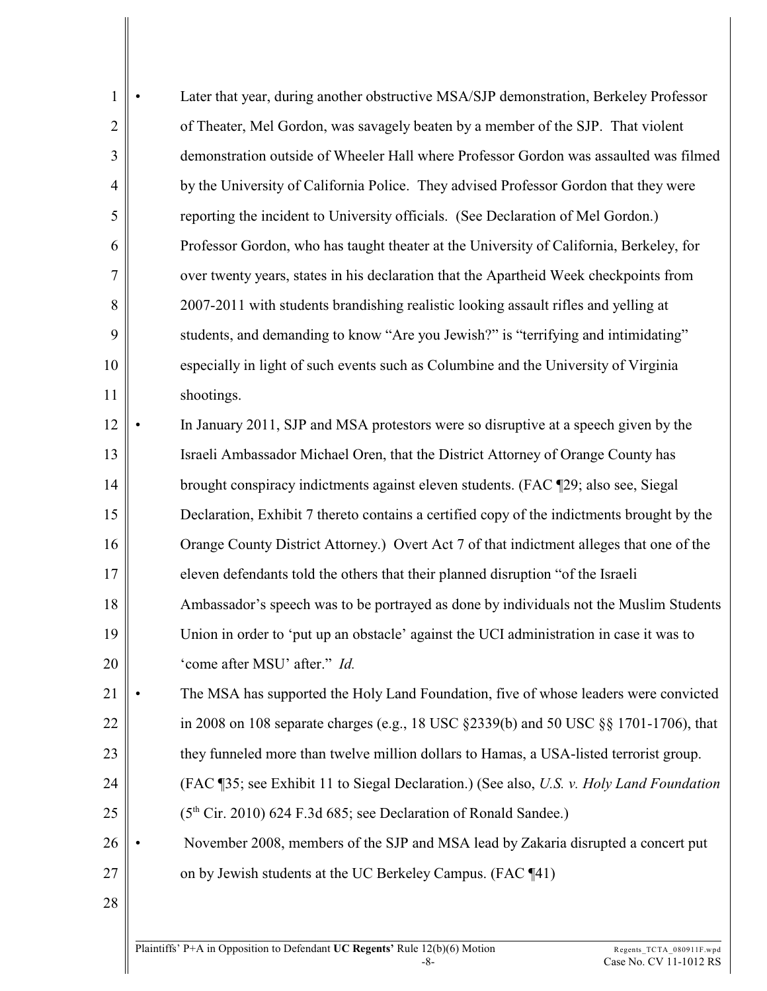| 1              | Later that year, during another obstructive MSA/SJP demonstration, Berkeley Professor      |
|----------------|--------------------------------------------------------------------------------------------|
| $\overline{2}$ | of Theater, Mel Gordon, was savagely beaten by a member of the SJP. That violent           |
| 3              | demonstration outside of Wheeler Hall where Professor Gordon was assaulted was filmed      |
| $\overline{4}$ | by the University of California Police. They advised Professor Gordon that they were       |
| 5              | reporting the incident to University officials. (See Declaration of Mel Gordon.)           |
| 6              | Professor Gordon, who has taught theater at the University of California, Berkeley, for    |
| 7              | over twenty years, states in his declaration that the Apartheid Week checkpoints from      |
| 8              | 2007-2011 with students brandishing realistic looking assault rifles and yelling at        |
| 9              | students, and demanding to know "Are you Jewish?" is "terrifying and intimidating"         |
| 10             | especially in light of such events such as Columbine and the University of Virginia        |
| 11             | shootings.                                                                                 |
| 12             | In January 2011, SJP and MSA protestors were so disruptive at a speech given by the        |
| 13             | Israeli Ambassador Michael Oren, that the District Attorney of Orange County has           |
| 14             | brought conspiracy indictments against eleven students. (FAC ¶29; also see, Siegal         |
| 15             | Declaration, Exhibit 7 thereto contains a certified copy of the indictments brought by the |
| 16             | Orange County District Attorney.) Overt Act 7 of that indictment alleges that one of the   |
| 17             | eleven defendants told the others that their planned disruption "of the Israeli            |
| 18             | Ambassador's speech was to be portrayed as done by individuals not the Muslim Students     |
| 19             | Union in order to 'put up an obstacle' against the UCI administration in case it was to    |
| 20             | 'come after MSU' after." Id.                                                               |
| 21             | The MSA has supported the Holy Land Foundation, five of whose leaders were convicted       |
| 22             | in 2008 on 108 separate charges (e.g., 18 USC §2339(b) and 50 USC §§ 1701-1706), that      |
| 23             | they funneled more than twelve million dollars to Hamas, a USA-listed terrorist group.     |
| 24             | (FAC ¶35; see Exhibit 11 to Siegal Declaration.) (See also, U.S. v. Holy Land Foundation   |
| 25             | (5 <sup>th</sup> Cir. 2010) 624 F.3d 685; see Declaration of Ronald Sandee.)               |
| 26             | November 2008, members of the SJP and MSA lead by Zakaria disrupted a concert put          |
| 27             | on by Jewish students at the UC Berkeley Campus. (FAC ¶41)                                 |
| 28             |                                                                                            |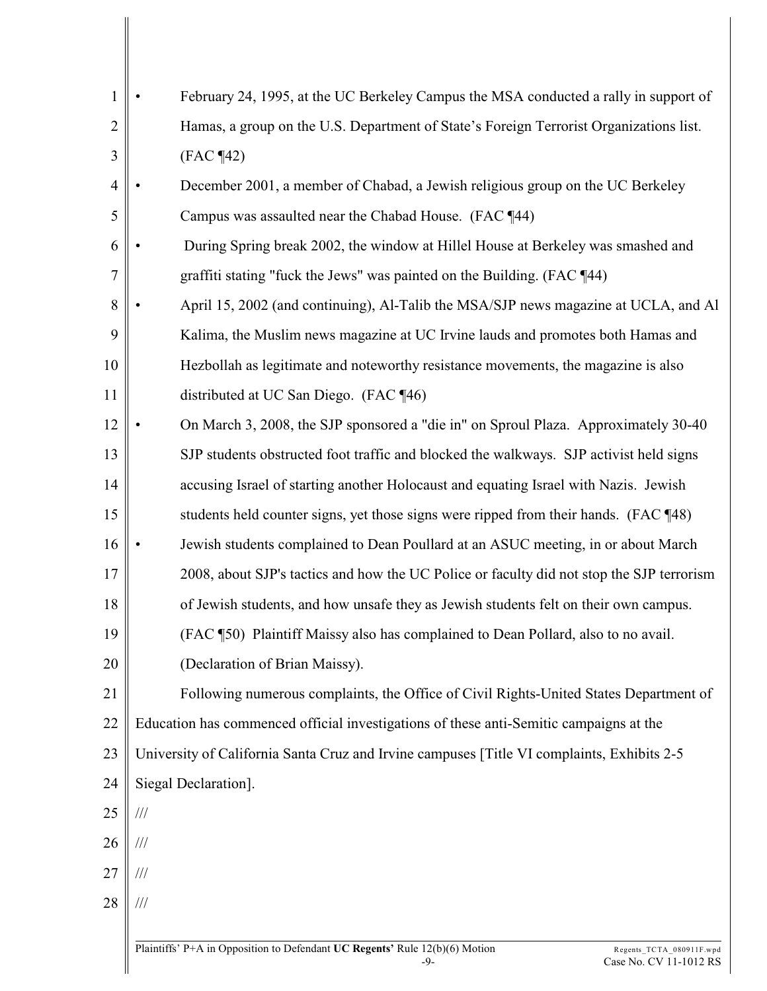| $\mathbf{1}$   | February 24, 1995, at the UC Berkeley Campus the MSA conducted a rally in support of       |
|----------------|--------------------------------------------------------------------------------------------|
| $\overline{2}$ | Hamas, a group on the U.S. Department of State's Foreign Terrorist Organizations list.     |
| 3              | $(FAC \P42)$                                                                               |
| $\overline{4}$ | December 2001, a member of Chabad, a Jewish religious group on the UC Berkeley             |
| 5              | Campus was assaulted near the Chabad House. (FAC ¶44)                                      |
| 6              | During Spring break 2002, the window at Hillel House at Berkeley was smashed and           |
| 7              | graffiti stating "fuck the Jews" was painted on the Building. (FAC ¶44)                    |
| $8\,$          | April 15, 2002 (and continuing), Al-Talib the MSA/SJP news magazine at UCLA, and Al        |
| 9              | Kalima, the Muslim news magazine at UC Irvine lauds and promotes both Hamas and            |
| 10             | Hezbollah as legitimate and noteworthy resistance movements, the magazine is also          |
| 11             | distributed at UC San Diego. (FAC ¶46)                                                     |
| 12             | On March 3, 2008, the SJP sponsored a "die in" on Sproul Plaza. Approximately 30-40        |
| 13             | SJP students obstructed foot traffic and blocked the walkways. SJP activist held signs     |
| 14             | accusing Israel of starting another Holocaust and equating Israel with Nazis. Jewish       |
| 15             | students held counter signs, yet those signs were ripped from their hands. (FAC ¶48)       |
| 16             | Jewish students complained to Dean Poullard at an ASUC meeting, in or about March          |
| 17             | 2008, about SJP's tactics and how the UC Police or faculty did not stop the SJP terrorism  |
| 18             | of Jewish students, and how unsafe they as Jewish students felt on their own campus.       |
| 19             | (FAC ¶50) Plaintiff Maissy also has complained to Dean Pollard, also to no avail.          |
| 20             | (Declaration of Brian Maissy).                                                             |
| 21             | Following numerous complaints, the Office of Civil Rights-United States Department of      |
| 22             | Education has commenced official investigations of these anti-Semitic campaigns at the     |
| 23             | University of California Santa Cruz and Irvine campuses [Title VI complaints, Exhibits 2-5 |
| 24             | Siegal Declaration].                                                                       |
| 25             | $\frac{1}{1}$                                                                              |
| 26             | $/\!/ \!/$                                                                                 |
| 27             | $/\!/ \!/$                                                                                 |
| 28             | $/\!/ \!/$                                                                                 |
|                |                                                                                            |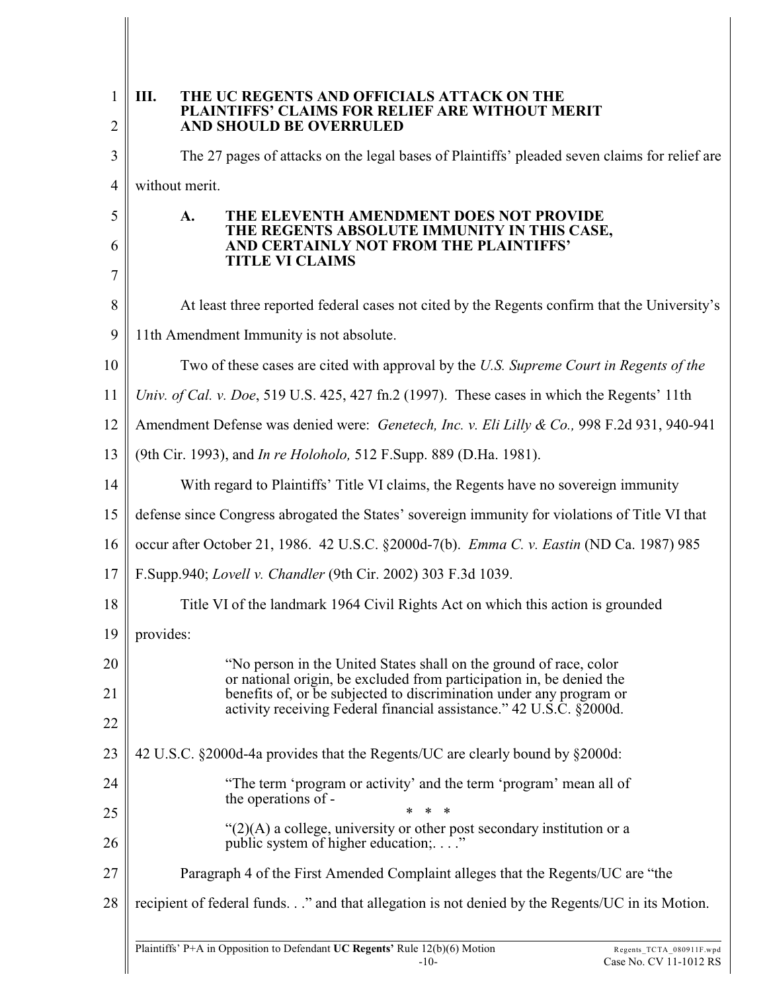| $\mathbf{1}$<br>$\overline{2}$ | III.<br>THE UC REGENTS AND OFFICIALS ATTACK ON THE<br>PLAINTIFFS' CLAIMS FOR RELIEF ARE WITHOUT MERIT<br>AND SHOULD BE OVERRULED            |  |  |  |  |
|--------------------------------|---------------------------------------------------------------------------------------------------------------------------------------------|--|--|--|--|
| 3                              | The 27 pages of attacks on the legal bases of Plaintiffs' pleaded seven claims for relief are                                               |  |  |  |  |
| 4                              | without merit.                                                                                                                              |  |  |  |  |
| 5                              | THE ELEVENTH AMENDMENT DOES NOT PROVIDE<br>A.<br>THE REGENTS ABSOLUTE IMMUNITY IN THIS CASE,                                                |  |  |  |  |
| 6                              | AND CERTAINLY NOT FROM THE PLAINTIFFS'<br><b>TITLE VI CLAIMS</b>                                                                            |  |  |  |  |
| 7                              |                                                                                                                                             |  |  |  |  |
| 8                              | At least three reported federal cases not cited by the Regents confirm that the University's                                                |  |  |  |  |
| 9                              | 11th Amendment Immunity is not absolute.                                                                                                    |  |  |  |  |
| 10                             | Two of these cases are cited with approval by the U.S. Supreme Court in Regents of the                                                      |  |  |  |  |
| 11                             | Univ. of Cal. v. Doe, 519 U.S. 425, 427 fn.2 (1997). These cases in which the Regents' 11th                                                 |  |  |  |  |
| 12                             | Amendment Defense was denied were: Genetech, Inc. v. Eli Lilly & Co., 998 F.2d 931, 940-941                                                 |  |  |  |  |
| 13                             | (9th Cir. 1993), and <i>In re Holoholo</i> , 512 F.Supp. 889 (D.Ha. 1981).                                                                  |  |  |  |  |
| 14                             | With regard to Plaintiffs' Title VI claims, the Regents have no sovereign immunity                                                          |  |  |  |  |
| 15                             | defense since Congress abrogated the States' sovereign immunity for violations of Title VI that                                             |  |  |  |  |
| 16                             | occur after October 21, 1986. 42 U.S.C. §2000d-7(b). Emma C. v. Eastin (ND Ca. 1987) 985                                                    |  |  |  |  |
| 17                             | F.Supp.940; Lovell v. Chandler (9th Cir. 2002) 303 F.3d 1039.                                                                               |  |  |  |  |
| 18                             | Title VI of the landmark 1964 Civil Rights Act on which this action is grounded                                                             |  |  |  |  |
| 19                             | provides:                                                                                                                                   |  |  |  |  |
| 20                             | "No person in the United States shall on the ground of race, color                                                                          |  |  |  |  |
| 21                             | or national origin, be excluded from participation in, be denied the<br>benefits of, or be subjected to discrimination under any program or |  |  |  |  |
| 22                             | activity receiving Federal financial assistance." 42 U.S.C. §2000d.                                                                         |  |  |  |  |
| 23                             | 42 U.S.C. §2000d-4a provides that the Regents/UC are clearly bound by §2000d:                                                               |  |  |  |  |
| 24                             | "The term 'program or activity' and the term 'program' mean all of<br>the operations of -                                                   |  |  |  |  |
| 25                             | $\ast$<br>-∗                                                                                                                                |  |  |  |  |
| 26                             | " $(2)(A)$ a college, university or other post secondary institution or a<br>public system of higher education;"                            |  |  |  |  |
| 27                             | Paragraph 4 of the First Amended Complaint alleges that the Regents/UC are "the                                                             |  |  |  |  |
| 28                             | recipient of federal funds." and that allegation is not denied by the Regents/UC in its Motion.                                             |  |  |  |  |
|                                |                                                                                                                                             |  |  |  |  |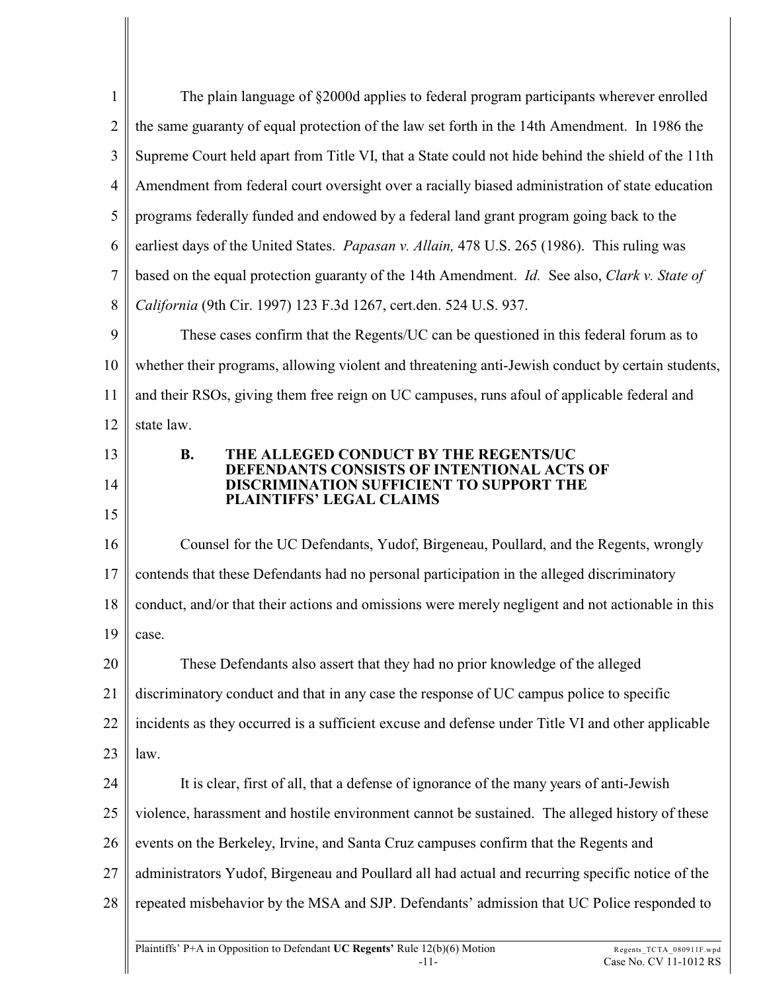| $\mathbf{1}$   | The plain language of §2000d applies to federal program participants wherever enrolled            |
|----------------|---------------------------------------------------------------------------------------------------|
|                |                                                                                                   |
| $\mathbf{2}$   | the same guaranty of equal protection of the law set forth in the 14th Amendment. In 1986 the     |
| 3              | Supreme Court held apart from Title VI, that a State could not hide behind the shield of the 11th |
| $\overline{4}$ | Amendment from federal court oversight over a racially biased administration of state education   |
| 5              | programs federally funded and endowed by a federal land grant program going back to the           |
| 6              | earliest days of the United States. Papasan v. Allain, 478 U.S. 265 (1986). This ruling was       |
| $\tau$         | based on the equal protection guaranty of the 14th Amendment. Id. See also, Clark v. State of     |
| 8              | California (9th Cir. 1997) 123 F.3d 1267, cert.den. 524 U.S. 937.                                 |
| 9              | These cases confirm that the Regents/UC can be questioned in this federal forum as to             |
| 10             | whether their programs, allowing violent and threatening anti-Jewish conduct by certain students, |
| 11             | and their RSOs, giving them free reign on UC campuses, runs afoul of applicable federal and       |
| 12             | state law.                                                                                        |
| 13             | <b>B.</b><br>THE ALLEGED CONDUCT BY THE REGENTS/UC                                                |
| 14             | DEFENDANTS CONSISTS OF INTENTIONAL ACTS OF<br>DISCRIMINATION SUFFICIENT TO SUPPORT THE            |
| 15             | PLAINTIFFS' LEGAL CLAIMS                                                                          |
| 16             | Counsel for the UC Defendants, Yudof, Birgeneau, Poullard, and the Regents, wrongly               |
| 17             | contends that these Defendants had no personal participation in the alleged discriminatory        |
| 18             | conduct, and/or that their actions and omissions were merely negligent and not actionable in this |
| 19             | case.                                                                                             |
| 20             | These Defendants also assert that they had no prior knowledge of the alleged                      |
| 21             | discriminatory conduct and that in any case the response of UC campus police to specific          |
| 22             | incidents as they occurred is a sufficient excuse and defense under Title VI and other applicable |
| 23             | law.                                                                                              |
| 24             | It is clear, first of all, that a defense of ignorance of the many years of anti-Jewish           |
| 25             | violence, harassment and hostile environment cannot be sustained. The alleged history of these    |
| 26             | events on the Berkeley, Irvine, and Santa Cruz campuses confirm that the Regents and              |
| 27             | administrators Yudof, Birgeneau and Poullard all had actual and recurring specific notice of the  |
| 28             | repeated misbehavior by the MSA and SJP. Defendants' admission that UC Police responded to        |
|                |                                                                                                   |
|                |                                                                                                   |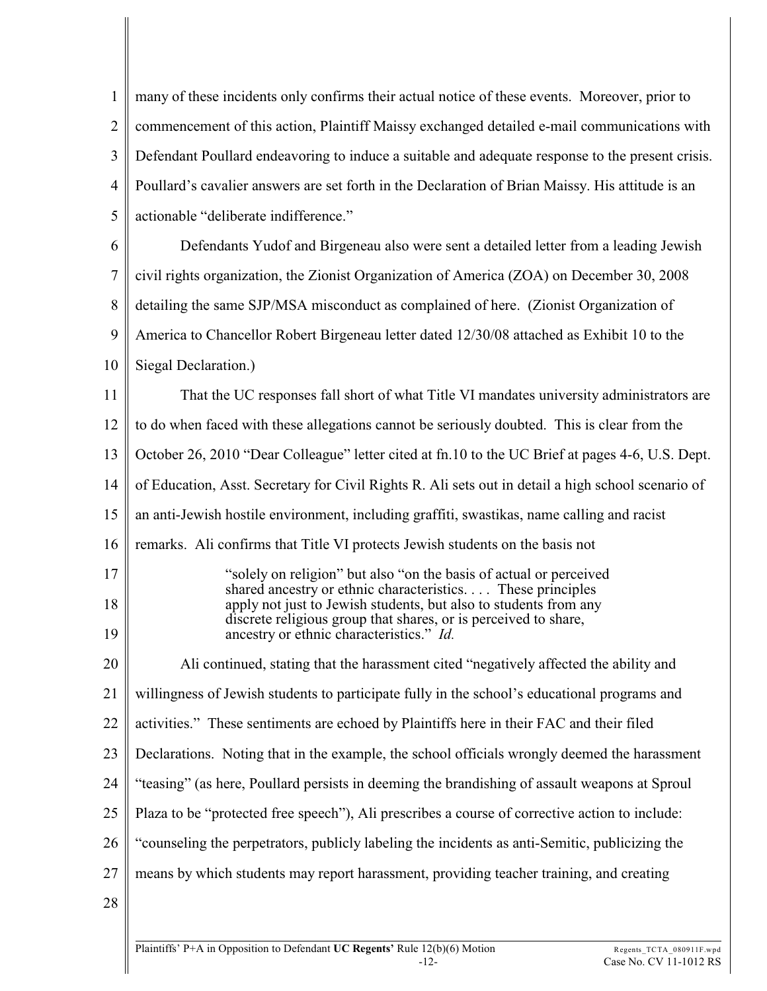1 2 3 4 5 many of these incidents only confirms their actual notice of these events. Moreover, prior to commencement of this action, Plaintiff Maissy exchanged detailed e-mail communications with Defendant Poullard endeavoring to induce a suitable and adequate response to the present crisis. Poullard's cavalier answers are set forth in the Declaration of Brian Maissy. His attitude is an actionable "deliberate indifference."

6 7 8 9 10 Defendants Yudof and Birgeneau also were sent a detailed letter from a leading Jewish civil rights organization, the Zionist Organization of America (ZOA) on December 30, 2008 detailing the same SJP/MSA misconduct as complained of here. (Zionist Organization of America to Chancellor Robert Birgeneau letter dated 12/30/08 attached as Exhibit 10 to the Siegal Declaration.)

11 12 13 14 15 16 17 18 19 20 21 22 23 24 25 26 27 28 That the UC responses fall short of what Title VI mandates university administrators are to do when faced with these allegations cannot be seriously doubted. This is clear from the October 26, 2010 "Dear Colleague" letter cited at fn.10 to the UC Brief at pages 4-6, U.S. Dept. of Education, Asst. Secretary for Civil Rights R. Ali sets out in detail a high school scenario of an anti-Jewish hostile environment, including graffiti, swastikas, name calling and racist remarks. Ali confirms that Title VI protects Jewish students on the basis not "solely on religion" but also "on the basis of actual or perceived shared ancestry or ethnic characteristics. . . . These principles apply not just to Jewish students, but also to students from any discrete religious group that shares, or is perceived to share, ancestry or ethnic characteristics." *Id.* Ali continued, stating that the harassment cited "negatively affected the ability and willingness of Jewish students to participate fully in the school's educational programs and activities." These sentiments are echoed by Plaintiffs here in their FAC and their filed Declarations. Noting that in the example, the school officials wrongly deemed the harassment "teasing" (as here, Poullard persists in deeming the brandishing of assault weapons at Sproul Plaza to be "protected free speech"), Ali prescribes a course of corrective action to include: "counseling the perpetrators, publicly labeling the incidents as anti-Semitic, publicizing the means by which students may report harassment, providing teacher training, and creating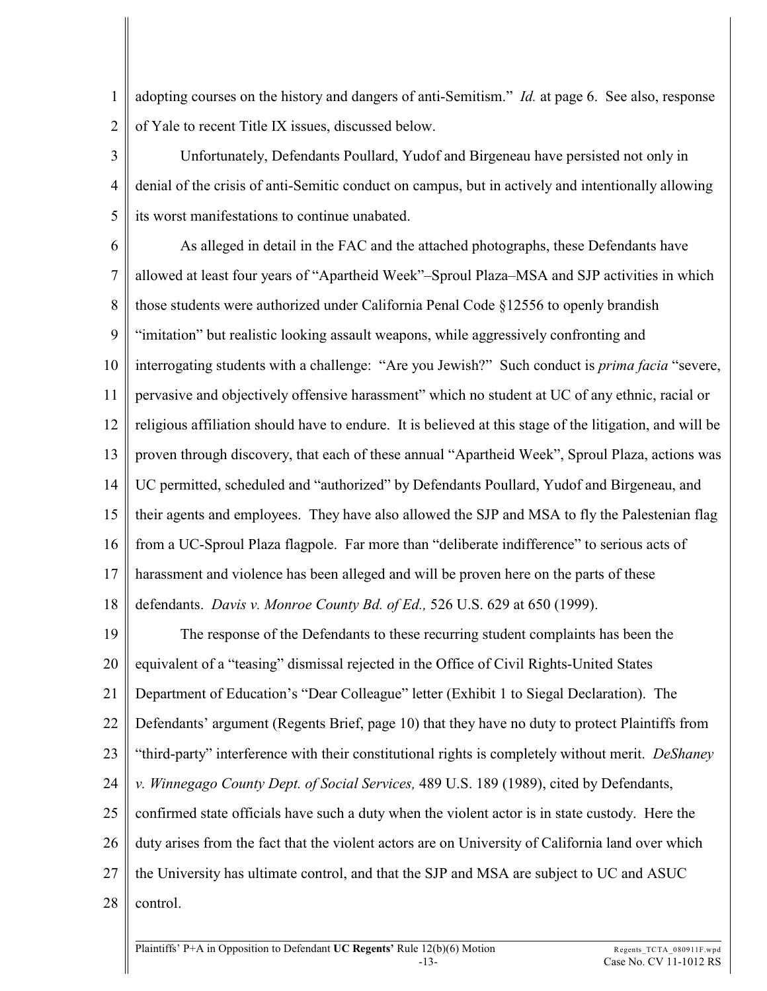1 2 adopting courses on the history and dangers of anti-Semitism." *Id.* at page 6. See also, response of Yale to recent Title IX issues, discussed below.

3 4 5 Unfortunately, Defendants Poullard, Yudof and Birgeneau have persisted not only in denial of the crisis of anti-Semitic conduct on campus, but in actively and intentionally allowing its worst manifestations to continue unabated.

6 7 8 9 10 11 12 13 14 15 16 17 18 As alleged in detail in the FAC and the attached photographs, these Defendants have allowed at least four years of "Apartheid Week"–Sproul Plaza–MSA and SJP activities in which those students were authorized under California Penal Code §12556 to openly brandish "imitation" but realistic looking assault weapons, while aggressively confronting and interrogating students with a challenge: "Are you Jewish?" Such conduct is *prima facia* "severe, pervasive and objectively offensive harassment" which no student at UC of any ethnic, racial or religious affiliation should have to endure. It is believed at this stage of the litigation, and will be proven through discovery, that each of these annual "Apartheid Week", Sproul Plaza, actions was UC permitted, scheduled and "authorized" by Defendants Poullard, Yudof and Birgeneau, and their agents and employees. They have also allowed the SJP and MSA to fly the Palestenian flag from a UC-Sproul Plaza flagpole. Far more than "deliberate indifference" to serious acts of harassment and violence has been alleged and will be proven here on the parts of these defendants. *Davis v. Monroe County Bd. of Ed.,* 526 U.S. 629 at 650 (1999).

19 20 21 22 23 24 25 26 27 28 The response of the Defendants to these recurring student complaints has been the equivalent of a "teasing" dismissal rejected in the Office of Civil Rights-United States Department of Education's "Dear Colleague" letter (Exhibit 1 to Siegal Declaration). The Defendants' argument (Regents Brief, page 10) that they have no duty to protect Plaintiffs from "third-party" interference with their constitutional rights is completely without merit. *DeShaney v. Winnegago County Dept. of Social Services,* 489 U.S. 189 (1989), cited by Defendants, confirmed state officials have such a duty when the violent actor is in state custody. Here the duty arises from the fact that the violent actors are on University of California land over which the University has ultimate control, and that the SJP and MSA are subject to UC and ASUC control.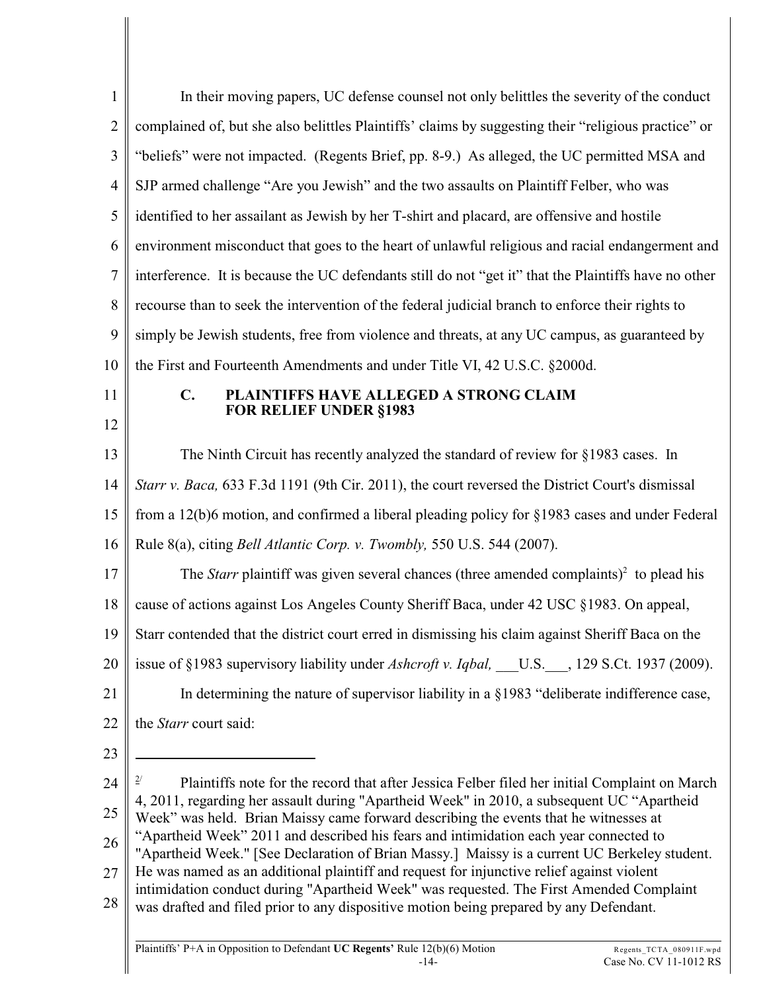| $\mathbf{1}$     | In their moving papers, UC defense counsel not only belittles the severity of the conduct                                                                                             |
|------------------|---------------------------------------------------------------------------------------------------------------------------------------------------------------------------------------|
| $\overline{2}$   | complained of, but she also belittles Plaintiffs' claims by suggesting their "religious practice" or                                                                                  |
| $\mathfrak{Z}$   | "beliefs" were not impacted. (Regents Brief, pp. 8-9.) As alleged, the UC permitted MSA and                                                                                           |
| $\overline{4}$   | SJP armed challenge "Are you Jewish" and the two assaults on Plaintiff Felber, who was                                                                                                |
| 5                | identified to her assailant as Jewish by her T-shirt and placard, are offensive and hostile                                                                                           |
| 6                | environment misconduct that goes to the heart of unlawful religious and racial endangerment and                                                                                       |
| $\boldsymbol{7}$ | interference. It is because the UC defendants still do not "get it" that the Plaintiffs have no other                                                                                 |
| 8                | recourse than to seek the intervention of the federal judicial branch to enforce their rights to                                                                                      |
| 9                | simply be Jewish students, free from violence and threats, at any UC campus, as guaranteed by                                                                                         |
| 10               | the First and Fourteenth Amendments and under Title VI, 42 U.S.C. §2000d.                                                                                                             |
| 11               | $\mathbf{C}$ .<br>PLAINTIFFS HAVE ALLEGED A STRONG CLAIM                                                                                                                              |
| 12               | <b>FOR RELIEF UNDER §1983</b>                                                                                                                                                         |
| 13               | The Ninth Circuit has recently analyzed the standard of review for §1983 cases. In                                                                                                    |
| 14               | Starr v. Baca, 633 F.3d 1191 (9th Cir. 2011), the court reversed the District Court's dismissal                                                                                       |
| 15               | from a 12(b)6 motion, and confirmed a liberal pleading policy for $\S 1983$ cases and under Federal                                                                                   |
| 16               | Rule 8(a), citing <i>Bell Atlantic Corp. v. Twombly</i> , 550 U.S. 544 (2007).                                                                                                        |
| 17               | The <i>Starr</i> plaintiff was given several chances (three amended complaints) <sup>2</sup> to plead his                                                                             |
| 18               | cause of actions against Los Angeles County Sheriff Baca, under 42 USC §1983. On appeal,                                                                                              |
| 19               | Starr contended that the district court erred in dismissing his claim against Sheriff Baca on the                                                                                     |
| 20               | issue of §1983 supervisory liability under Ashcroft v. Iqbal, ___U.S.__, 129 S.Ct. 1937 (2009).                                                                                       |
| 21               | In determining the nature of supervisor liability in a §1983 "deliberate indifference case,                                                                                           |
| 22               | the Starr court said:                                                                                                                                                                 |
| 23               |                                                                                                                                                                                       |
| 24               | Plaintiffs note for the record that after Jessica Felber filed her initial Complaint on March                                                                                         |
| 25               | 4, 2011, regarding her assault during "Apartheid Week" in 2010, a subsequent UC "Apartheid<br>Week" was held. Brian Maissy came forward describing the events that he witnesses at    |
| 26               | "Apartheid Week" 2011 and described his fears and intimidation each year connected to<br>"Apartheid Week." [See Declaration of Brian Massy.] Maissy is a current UC Berkeley student. |
| 27               | He was named as an additional plaintiff and request for injunctive relief against violent                                                                                             |
| 28               | intimidation conduct during "Apartheid Week" was requested. The First Amended Complaint<br>was drafted and filed prior to any dispositive motion being prepared by any Defendant.     |
|                  |                                                                                                                                                                                       |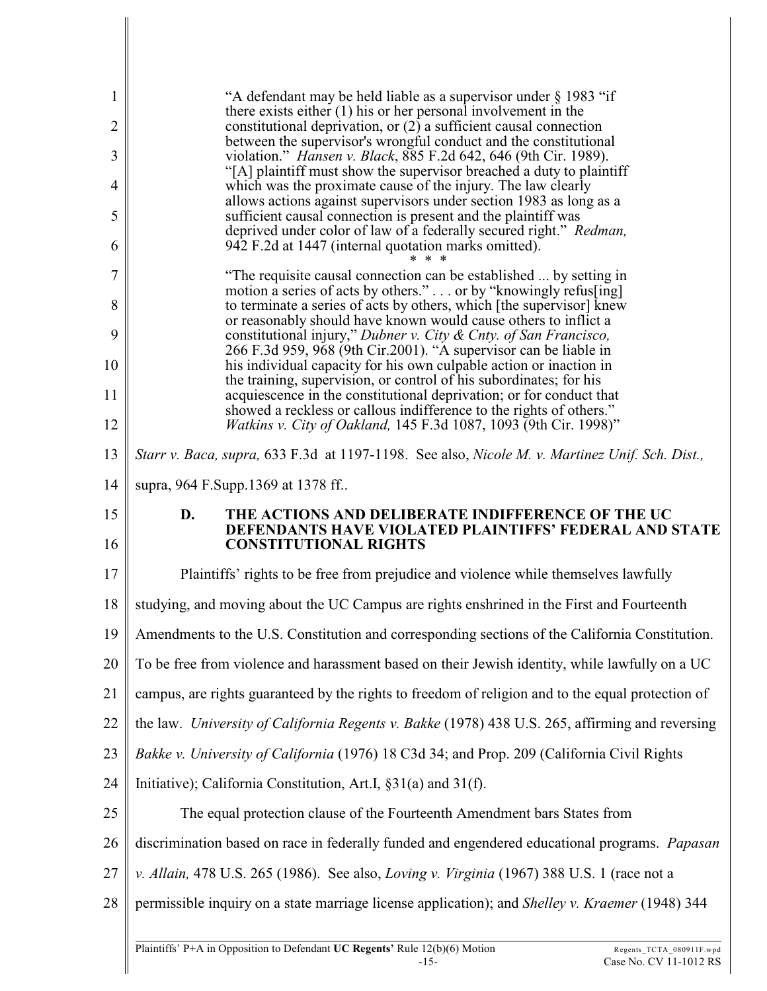| 1              | "A defendant may be held liable as a supervisor under § 1983 "if                                                                          |  |  |  |  |  |
|----------------|-------------------------------------------------------------------------------------------------------------------------------------------|--|--|--|--|--|
| 2              | there exists either $(1)$ his or her personal involvement in the<br>constitutional deprivation, or (2) a sufficient causal connection     |  |  |  |  |  |
| 3              | between the supervisor's wrongful conduct and the constitutional<br>violation." Hansen v. Black, 885 F.2d 642, 646 (9th Cir. 1989).       |  |  |  |  |  |
| $\overline{4}$ | "[A] plaintiff must show the supervisor breached a duty to plaintiff<br>which was the proximate cause of the injury. The law clearly      |  |  |  |  |  |
| 5              | allows actions against supervisors under section 1983 as long as a<br>sufficient causal connection is present and the plaintiff was       |  |  |  |  |  |
| 6              | deprived under color of law of a federally secured right." Redman,<br>942 F.2d at 1447 (internal quotation marks omitted).                |  |  |  |  |  |
| 7              | "The requisite causal connection can be established  by setting in                                                                        |  |  |  |  |  |
| 8              | motion a series of acts by others." or by "knowingly refus[ing]<br>to terminate a series of acts by others, which [the supervisor] knew   |  |  |  |  |  |
| 9              | or reasonably should have known would cause others to inflict a<br>constitutional injury," Dubner v. City & Cnty. of San Francisco,       |  |  |  |  |  |
| 10             | 266 F.3d 959, 968 (9th Cir.2001). "A supervisor can be liable in<br>his individual capacity for his own culpable action or inaction in    |  |  |  |  |  |
| 11             | the training, supervision, or control of his subordinates; for his<br>acquiescence in the constitutional deprivation; or for conduct that |  |  |  |  |  |
| 12             | showed a reckless or callous indifference to the rights of others."<br>Watkins v. City of Oakland, 145 F.3d 1087, 1093 (9th Cir. 1998)"   |  |  |  |  |  |
| 13             | Starr v. Baca, supra, 633 F.3d at 1197-1198. See also, Nicole M. v. Martinez Unif. Sch. Dist.,                                            |  |  |  |  |  |
| 14             | supra, 964 F.Supp.1369 at 1378 ff                                                                                                         |  |  |  |  |  |
|                |                                                                                                                                           |  |  |  |  |  |
| 15             | THE ACTIONS AND DELIBERATE INDIFFERENCE OF THE UC<br>D.                                                                                   |  |  |  |  |  |
| 16             | <b>DEFENDANTS HAVE VIOLATED PLAINTIFFS' FEDERAL AND STATE</b><br><b>CONSTITUTIONAL RIGHTS</b>                                             |  |  |  |  |  |
| 17             | Plaintiffs' rights to be free from prejudice and violence while themselves lawfully                                                       |  |  |  |  |  |
| 18             | studying, and moving about the UC Campus are rights enshrined in the First and Fourteenth                                                 |  |  |  |  |  |
| 19             | Amendments to the U.S. Constitution and corresponding sections of the California Constitution.                                            |  |  |  |  |  |
| 20             | To be free from violence and harassment based on their Jewish identity, while lawfully on a UC                                            |  |  |  |  |  |
| 21             | campus, are rights guaranteed by the rights to freedom of religion and to the equal protection of                                         |  |  |  |  |  |
| 22             | the law. University of California Regents v. Bakke (1978) 438 U.S. 265, affirming and reversing                                           |  |  |  |  |  |
| 23             | Bakke v. University of California (1976) 18 C3d 34; and Prop. 209 (California Civil Rights                                                |  |  |  |  |  |
| 24             | Initiative); California Constitution, Art.I, §31(a) and 31(f).                                                                            |  |  |  |  |  |
| 25             | The equal protection clause of the Fourteenth Amendment bars States from                                                                  |  |  |  |  |  |
| 26             | discrimination based on race in federally funded and engendered educational programs. Papasan                                             |  |  |  |  |  |
| 27             | v. Allain, 478 U.S. 265 (1986). See also, Loving v. Virginia (1967) 388 U.S. 1 (race not a                                                |  |  |  |  |  |
| 28             | permissible inquiry on a state marriage license application); and Shelley v. Kraemer (1948) 344                                           |  |  |  |  |  |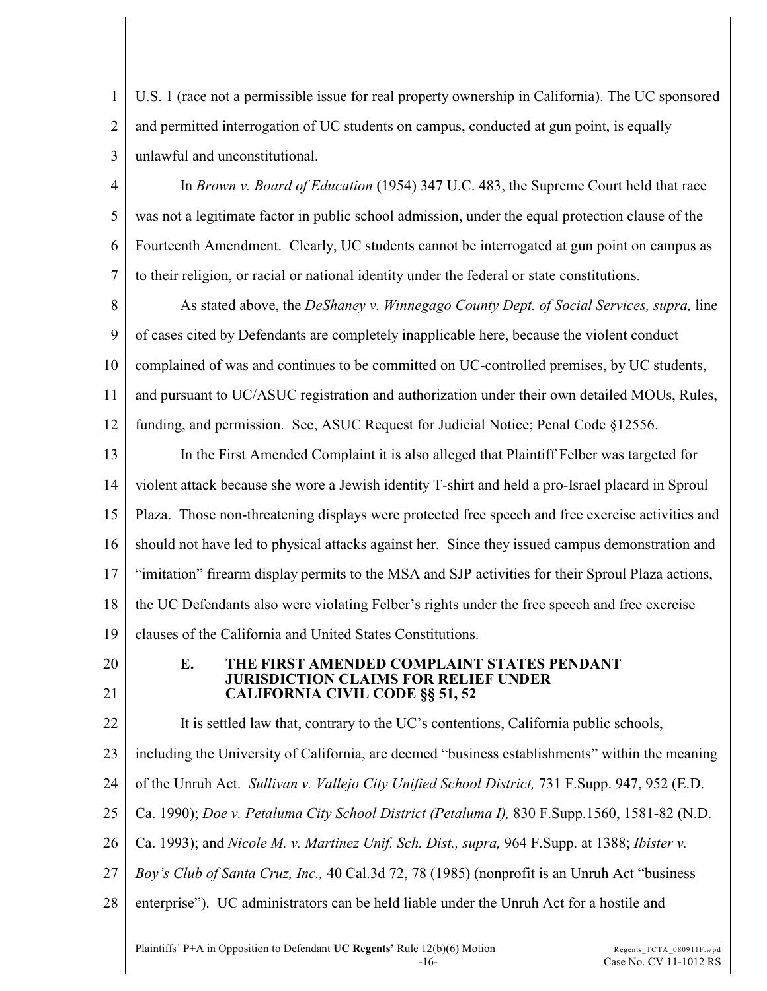1 2 3 U.S. 1 (race not a permissible issue for real property ownership in California). The UC sponsored and permitted interrogation of UC students on campus, conducted at gun point, is equally unlawful and unconstitutional.

4 5 6 7 In *Brown v. Board of Education* (1954) 347 U.C. 483, the Supreme Court held that race was not a legitimate factor in public school admission, under the equal protection clause of the Fourteenth Amendment. Clearly, UC students cannot be interrogated at gun point on campus as to their religion, or racial or national identity under the federal or state constitutions.

8 9 10 11 12 As stated above, the *DeShaney v. Winnegago County Dept. of Social Services, supra,* line of cases cited by Defendants are completely inapplicable here, because the violent conduct complained of was and continues to be committed on UC-controlled premises, by UC students, and pursuant to UC/ASUC registration and authorization under their own detailed MOUs, Rules, funding, and permission. See, ASUC Request for Judicial Notice; Penal Code §12556.

13 14 15 16 17 18 19 In the First Amended Complaint it is also alleged that Plaintiff Felber was targeted for violent attack because she wore a Jewish identity T-shirt and held a pro-Israel placard in Sproul Plaza. Those non-threatening displays were protected free speech and free exercise activities and should not have led to physical attacks against her. Since they issued campus demonstration and "imitation" firearm display permits to the MSA and SJP activities for their Sproul Plaza actions, the UC Defendants also were violating Felber's rights under the free speech and free exercise clauses of the California and United States Constitutions.

20 21

## **E. THE FIRST AMENDED COMPLAINT STATES PENDANT JURISDICTION CLAIMS FOR RELIEF UNDER CALIFORNIA CIVIL CODE §§ 51, 52**

22 It is settled law that, contrary to the UC's contentions, California public schools,

23 including the University of California, are deemed "business establishments" within the meaning

- 24 of the Unruh Act. *Sullivan v. Vallejo City Unified School District,* 731 F.Supp. 947, 952 (E.D.
- 25 Ca. 1990); *Doe v. Petaluma City School District (Petaluma I),* 830 F.Supp.1560, 1581-82 (N.D.
- 26 Ca. 1993); and *Nicole M. v. Martinez Unif. Sch. Dist., supra,* 964 F.Supp. at 1388; *Ibister v.*
- 27 *Boy's Club of Santa Cruz, Inc.,* 40 Cal.3d 72, 78 (1985) (nonprofit is an Unruh Act "business
- 28 enterprise"). UC administrators can be held liable under the Unruh Act for a hostile and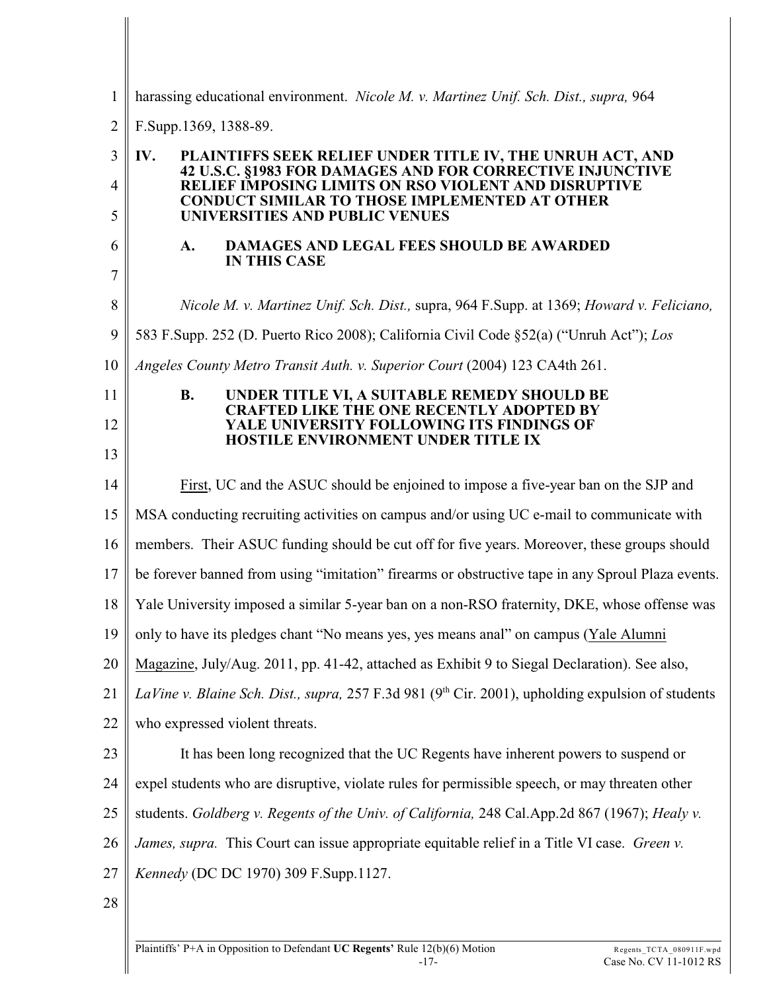| $\mathbf{1}$   | harassing educational environment. Nicole M. v. Martinez Unif. Sch. Dist., supra, 964                                         |  |  |  |
|----------------|-------------------------------------------------------------------------------------------------------------------------------|--|--|--|
| $\overline{2}$ | F.Supp.1369, 1388-89.                                                                                                         |  |  |  |
| 3              | IV.<br>PLAINTIFFS SEEK RELIEF UNDER TITLE IV, THE UNRUH ACT, AND<br>42 U.S.C. §1983 FOR DAMAGES AND FOR CORRECTIVE INJUNCTIVE |  |  |  |
| 4              | RELIEF IMPOSING LIMITS ON RSO VIOLENT AND DISRUPTIVE                                                                          |  |  |  |
| 5              | <b>CONDUCT SIMILAR TO THOSE IMPLEMENTED AT OTHER</b><br>UNIVERSITIES AND PUBLIC VENUES                                        |  |  |  |
| 6              | DAMAGES AND LEGAL FEES SHOULD BE AWARDED<br>A.<br><b>IN THIS CASE</b>                                                         |  |  |  |
| 7              |                                                                                                                               |  |  |  |
| 8              | Nicole M. v. Martinez Unif. Sch. Dist., supra, 964 F. Supp. at 1369; Howard v. Feliciano,                                     |  |  |  |
| 9              | 583 F.Supp. 252 (D. Puerto Rico 2008); California Civil Code §52(a) ("Unruh Act"); Los                                        |  |  |  |
| 10             | Angeles County Metro Transit Auth. v. Superior Court (2004) 123 CA4th 261.                                                    |  |  |  |
| 11             | <b>B.</b><br>UNDER TITLE VI, A SUITABLE REMEDY SHOULD BE<br><b>CRAFTED LIKE THE ONE RECENTLY ADOPTED BY</b>                   |  |  |  |
| 12             | YALE UNIVERSITY FOLLOWING ITS FINDINGS OF<br><b>HOSTILE ENVIRONMENT UNDER TITLE IX</b>                                        |  |  |  |
| 13             |                                                                                                                               |  |  |  |
| 14             | First, UC and the ASUC should be enjoined to impose a five-year ban on the SJP and                                            |  |  |  |
| 15             | MSA conducting recruiting activities on campus and/or using UC e-mail to communicate with                                     |  |  |  |
| 16             | members. Their ASUC funding should be cut off for five years. Moreover, these groups should                                   |  |  |  |
| 17             | be forever banned from using "imitation" firearms or obstructive tape in any Sproul Plaza events.                             |  |  |  |
| 18             | Yale University imposed a similar 5-year ban on a non-RSO fraternity, DKE, whose offense was                                  |  |  |  |
| 19             | only to have its pledges chant "No means yes, yes means anal" on campus (Yale Alumni                                          |  |  |  |
| 20             | Magazine, July/Aug. 2011, pp. 41-42, attached as Exhibit 9 to Siegal Declaration). See also,                                  |  |  |  |
| 21             | LaVine v. Blaine Sch. Dist., supra, 257 F.3d 981 (9th Cir. 2001), upholding expulsion of students                             |  |  |  |
| 22             | who expressed violent threats.                                                                                                |  |  |  |
| 23             | It has been long recognized that the UC Regents have inherent powers to suspend or                                            |  |  |  |
| 24             | expel students who are disruptive, violate rules for permissible speech, or may threaten other                                |  |  |  |
| 25             | students. Goldberg v. Regents of the Univ. of California, 248 Cal.App.2d 867 (1967); Healy v.                                 |  |  |  |
| 26             | James, supra. This Court can issue appropriate equitable relief in a Title VI case. Green v.                                  |  |  |  |
| 27             | Kennedy (DC DC 1970) 309 F.Supp.1127.                                                                                         |  |  |  |
| 28             |                                                                                                                               |  |  |  |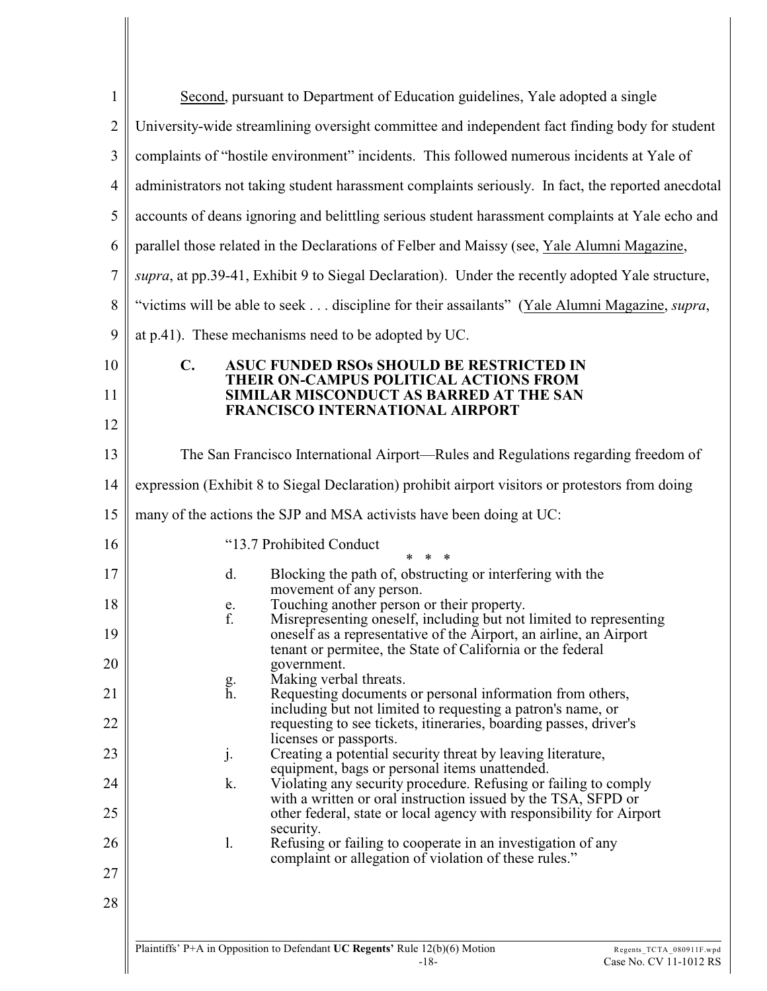| $\mathbf{1}$   | Second, pursuant to Department of Education guidelines, Yale adopted a single                                                                                                           |  |  |  |  |  |
|----------------|-----------------------------------------------------------------------------------------------------------------------------------------------------------------------------------------|--|--|--|--|--|
| $\overline{2}$ | University-wide streamlining oversight committee and independent fact finding body for student                                                                                          |  |  |  |  |  |
| 3              | complaints of "hostile environment" incidents. This followed numerous incidents at Yale of                                                                                              |  |  |  |  |  |
| $\overline{4}$ | administrators not taking student harassment complaints seriously. In fact, the reported anecdotal                                                                                      |  |  |  |  |  |
| 5              | accounts of deans ignoring and belittling serious student harassment complaints at Yale echo and                                                                                        |  |  |  |  |  |
| 6              | parallel those related in the Declarations of Felber and Maissy (see, Yale Alumni Magazine,                                                                                             |  |  |  |  |  |
| 7              | supra, at pp.39-41, Exhibit 9 to Siegal Declaration). Under the recently adopted Yale structure,                                                                                        |  |  |  |  |  |
| 8              | "victims will be able to seek discipline for their assailants" (Yale Alumni Magazine, <i>supra</i> ,                                                                                    |  |  |  |  |  |
| 9              | at p.41). These mechanisms need to be adopted by UC.                                                                                                                                    |  |  |  |  |  |
| 10             | $\mathbf{C}$ .<br><b>ASUC FUNDED RSOs SHOULD BE RESTRICTED IN</b>                                                                                                                       |  |  |  |  |  |
| 11             | THEIR ON-CAMPUS POLITICAL ACTIONS FROM<br>SIMILAR MISCONDUCT AS BARRED AT THE SAN<br>FRANCISCO INTERNATIONAL AIRPORT                                                                    |  |  |  |  |  |
| 12             |                                                                                                                                                                                         |  |  |  |  |  |
| 13             | The San Francisco International Airport—Rules and Regulations regarding freedom of                                                                                                      |  |  |  |  |  |
| 14             | expression (Exhibit 8 to Siegal Declaration) prohibit airport visitors or protestors from doing                                                                                         |  |  |  |  |  |
| 15             | many of the actions the SJP and MSA activists have been doing at UC:                                                                                                                    |  |  |  |  |  |
| 16             | "13.7 Prohibited Conduct<br>* *                                                                                                                                                         |  |  |  |  |  |
| 17             | Blocking the path of, obstructing or interfering with the<br>d.<br>movement of any person.                                                                                              |  |  |  |  |  |
| 18             | Touching another person or their property.<br>e.<br>f.<br>Misrepresenting oneself, including but not limited to representing                                                            |  |  |  |  |  |
| 19             | oneself as a representative of the Airport, an airline, an Airport<br>tenant or permitee, the State of California or the federal                                                        |  |  |  |  |  |
| 20             | government.<br>Making verbal threats.                                                                                                                                                   |  |  |  |  |  |
| 21             | $\frac{g}{h}$ .<br>Requesting documents or personal information from others,<br>including but not limited to requesting a patron's name, or                                             |  |  |  |  |  |
| 22             | requesting to see tickets, itineraries, boarding passes, driver's                                                                                                                       |  |  |  |  |  |
| 23             | licenses or passports.<br>Creating a potential security threat by leaving literature,<br>j.                                                                                             |  |  |  |  |  |
| 24             | equipment, bags or personal items unattended.<br>k.<br>Violating any security procedure. Refusing or failing to comply<br>with a written or oral instruction issued by the TSA, SFPD or |  |  |  |  |  |
| 25             | other federal, state or local agency with responsibility for Airport                                                                                                                    |  |  |  |  |  |
| 26             | security.<br>1.<br>Refusing or failing to cooperate in an investigation of any<br>complaint or allegation of violation of these rules."                                                 |  |  |  |  |  |
| 27             |                                                                                                                                                                                         |  |  |  |  |  |
| 28             |                                                                                                                                                                                         |  |  |  |  |  |
|                |                                                                                                                                                                                         |  |  |  |  |  |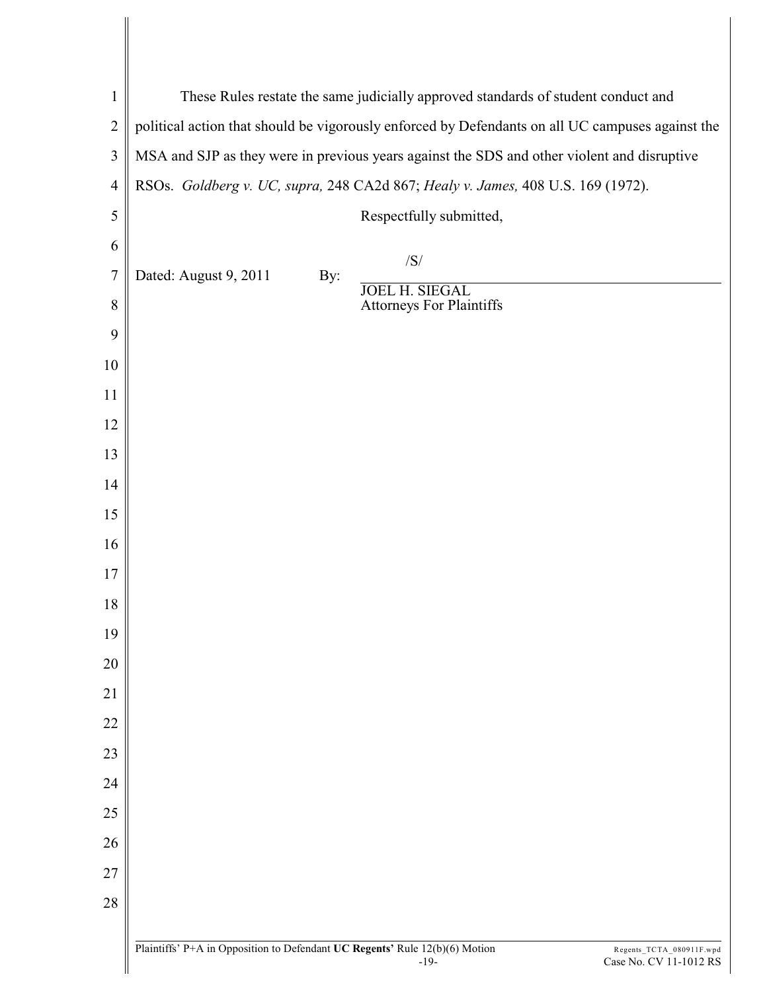| $\mathbf{1}$     | These Rules restate the same judicially approved standards of student conduct and                |     |                                                              |  |  |  |
|------------------|--------------------------------------------------------------------------------------------------|-----|--------------------------------------------------------------|--|--|--|
| $\overline{2}$   | political action that should be vigorously enforced by Defendants on all UC campuses against the |     |                                                              |  |  |  |
| $\mathfrak{Z}$   | MSA and SJP as they were in previous years against the SDS and other violent and disruptive      |     |                                                              |  |  |  |
| $\overline{4}$   | RSOs. Goldberg v. UC, supra, 248 CA2d 867; Healy v. James, 408 U.S. 169 (1972).                  |     |                                                              |  |  |  |
| 5                |                                                                                                  |     | Respectfully submitted,                                      |  |  |  |
| 6                |                                                                                                  |     | /S/                                                          |  |  |  |
| $\boldsymbol{7}$ | Dated: August 9, 2011                                                                            | By: |                                                              |  |  |  |
| 8                |                                                                                                  |     | <b>JOEL H. SIEGAL</b><br><b>Attorneys For Plaintiffs</b>     |  |  |  |
| 9                |                                                                                                  |     |                                                              |  |  |  |
| 10               |                                                                                                  |     |                                                              |  |  |  |
| 11               |                                                                                                  |     |                                                              |  |  |  |
| 12               |                                                                                                  |     |                                                              |  |  |  |
| 13               |                                                                                                  |     |                                                              |  |  |  |
| 14               |                                                                                                  |     |                                                              |  |  |  |
| 15               |                                                                                                  |     |                                                              |  |  |  |
| 16               |                                                                                                  |     |                                                              |  |  |  |
| 17               |                                                                                                  |     |                                                              |  |  |  |
| 18               |                                                                                                  |     |                                                              |  |  |  |
| 19               |                                                                                                  |     |                                                              |  |  |  |
| 20               |                                                                                                  |     |                                                              |  |  |  |
| 21               |                                                                                                  |     |                                                              |  |  |  |
| 22               |                                                                                                  |     |                                                              |  |  |  |
| 23               |                                                                                                  |     |                                                              |  |  |  |
| 24               |                                                                                                  |     |                                                              |  |  |  |
| 25               |                                                                                                  |     |                                                              |  |  |  |
| 26               |                                                                                                  |     |                                                              |  |  |  |
| 27               |                                                                                                  |     |                                                              |  |  |  |
| 28               |                                                                                                  |     |                                                              |  |  |  |
|                  |                                                                                                  |     |                                                              |  |  |  |
|                  | Plaintiffs' P+A in Opposition to Defendant UC Regents' Rule 12(b)(6) Motion                      |     | Regents_TCTA_080911F.wpd<br>$-19-$<br>Case No. CV 11-1012 RS |  |  |  |